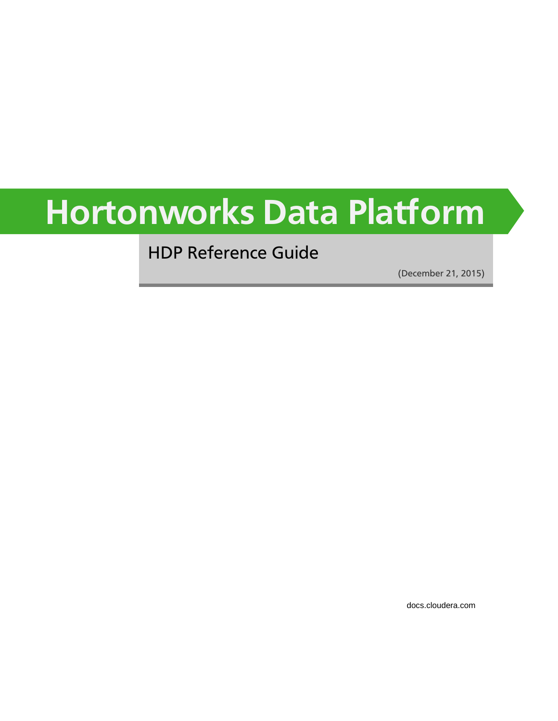# **Hortonworks Data Platform**

HDP Reference Guide

(December 21, 2015)

[docs.cloudera.com](http://docs.cloudera.com)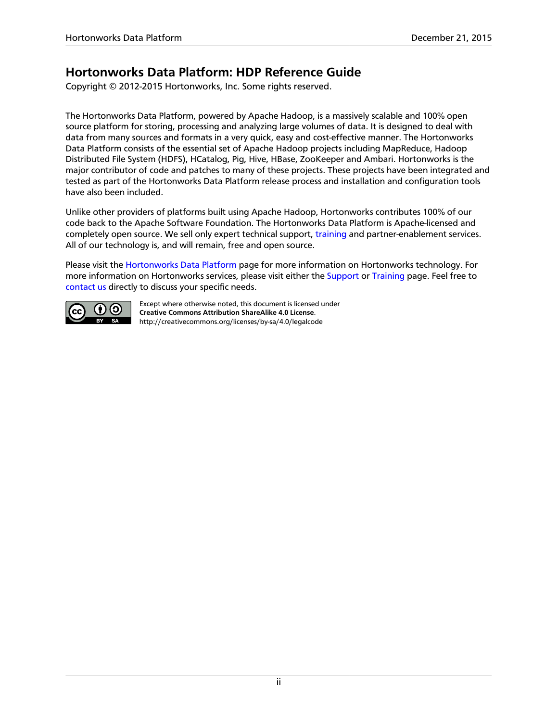### **Hortonworks Data Platform: HDP Reference Guide**

Copyright © 2012-2015 Hortonworks, Inc. Some rights reserved.

The Hortonworks Data Platform, powered by Apache Hadoop, is a massively scalable and 100% open source platform for storing, processing and analyzing large volumes of data. It is designed to deal with data from many sources and formats in a very quick, easy and cost-effective manner. The Hortonworks Data Platform consists of the essential set of Apache Hadoop projects including MapReduce, Hadoop Distributed File System (HDFS), HCatalog, Pig, Hive, HBase, ZooKeeper and Ambari. Hortonworks is the major contributor of code and patches to many of these projects. These projects have been integrated and tested as part of the Hortonworks Data Platform release process and installation and configuration tools have also been included.

Unlike other providers of platforms built using Apache Hadoop, Hortonworks contributes 100% of our code back to the Apache Software Foundation. The Hortonworks Data Platform is Apache-licensed and completely open source. We sell only expert technical support, [training](https://hortonworks.com/training/) and partner-enablement services. All of our technology is, and will remain, free and open source.

Please visit the [Hortonworks Data Platform](https://hortonworks.com/products/hdp/) page for more information on Hortonworks technology. For more information on Hortonworks services, please visit either the [Support](https://hortonworks.com/services/) or [Training](https://hortonworks.com/training/) page. Feel free to [contact us](https://hortonworks.com/contact-us/) directly to discuss your specific needs.



Except where otherwise noted, this document is licensed under **[Creative Commons Attribution ShareAlike 4.0 License](http://creativecommons.org/licenses/by-sa/4.0/legalcode)**. <http://creativecommons.org/licenses/by-sa/4.0/legalcode>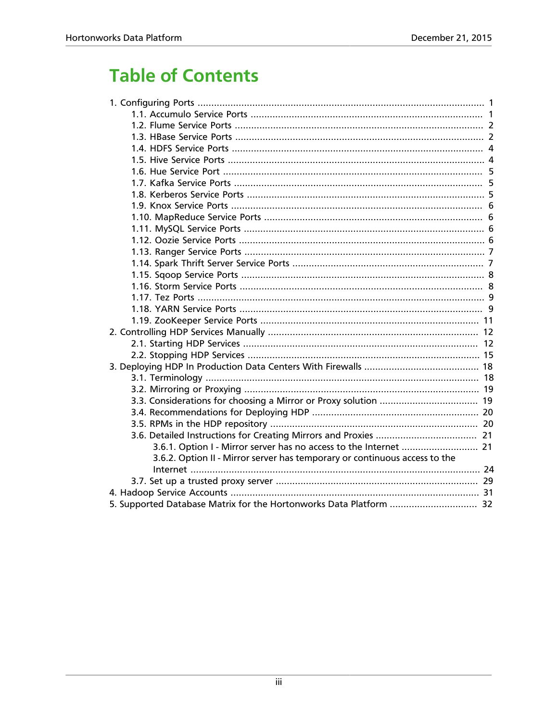### **Table of Contents**

| 3.6.1. Option I - Mirror server has no access to the Internet  21          |  |
|----------------------------------------------------------------------------|--|
| 3.6.2. Option II - Mirror server has temporary or continuous access to the |  |
|                                                                            |  |
|                                                                            |  |
|                                                                            |  |
| 5. Supported Database Matrix for the Hortonworks Data Platform  32         |  |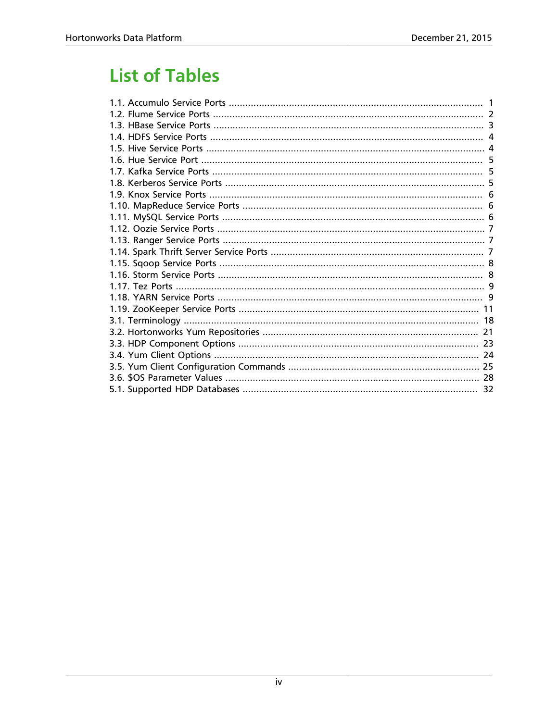### **List of Tables**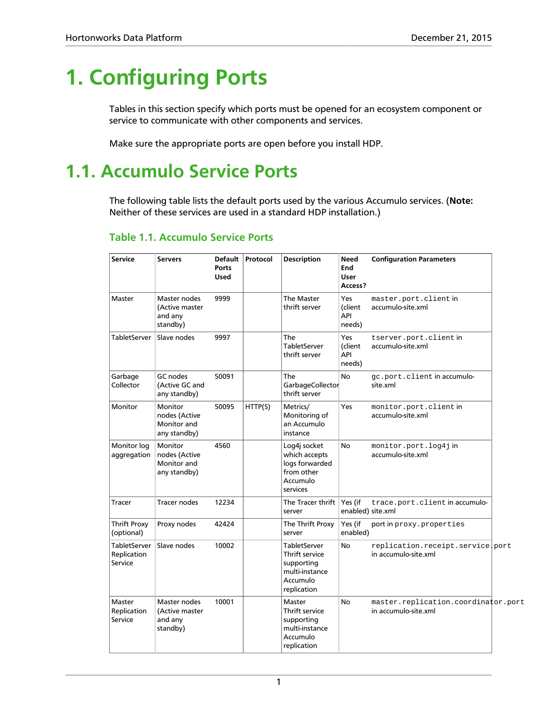# <span id="page-4-0"></span>**1. Configuring Ports**

Tables in this section specify which ports must be opened for an ecosystem component or service to communicate with other components and services.

Make sure the appropriate ports are open before you install HDP.

### <span id="page-4-1"></span>**1.1. Accumulo Service Ports**

The following table lists the default ports used by the various Accumulo services. (**Note:** Neither of these services are used in a standard HDP installation.)

| <b>Service</b>                                | <b>Servers</b>                                          | <b>Default</b><br><b>Ports</b><br><b>Used</b> | Protocol | <b>Description</b>                                                                               | <b>Need</b><br>End<br><b>User</b><br>Access? | <b>Configuration Parameters</b>                             |  |
|-----------------------------------------------|---------------------------------------------------------|-----------------------------------------------|----------|--------------------------------------------------------------------------------------------------|----------------------------------------------|-------------------------------------------------------------|--|
| Master                                        | Master nodes<br>(Active master<br>and any<br>standby)   | 9999                                          |          | The Master<br>thrift server                                                                      | Yes<br>(client<br>API<br>needs)              | master.port.client in<br>accumulo-site.xml                  |  |
| <b>TabletServer</b>                           | Slave nodes                                             | 9997                                          |          | The<br><b>TabletServer</b><br>thrift server                                                      | Yes<br>(client<br>API<br>needs)              | tserver.port.clientin<br>accumulo-site.xml                  |  |
| Garbage<br>Collector                          | GC nodes<br>(Active GC and<br>any standby)              | 50091                                         |          | The<br>GarbageCollector<br>thrift server                                                         | <b>No</b>                                    | gc.port.client in accumulo-<br>site.xml                     |  |
| Monitor                                       | Monitor<br>nodes (Active<br>Monitor and<br>any standby) | 50095                                         | HTTP(S)  | Metrics/<br>Monitoring of<br>an Accumulo<br>instance                                             | Yes                                          | monitor.port.client in<br>accumulo-site.xml                 |  |
| Monitor log<br>aggregation                    | Monitor<br>nodes (Active<br>Monitor and<br>any standby) | 4560                                          |          | Log4j socket<br>which accepts<br>logs forwarded<br>from other<br>Accumulo<br>services            | <b>No</b>                                    | monitor.port.log4jin<br>accumulo-site.xml                   |  |
| <b>Tracer</b>                                 | <b>Tracer nodes</b>                                     | 12234                                         |          | The Tracer thrift<br>server                                                                      | Yes (if                                      | trace.port.client in accumulo-<br>enabled) site.xml         |  |
| <b>Thrift Proxy</b><br>(optional)             | Proxy nodes                                             | 42424                                         |          | The Thrift Proxy<br>server                                                                       | Yes (if<br>enabled)                          | port in proxy. properties                                   |  |
| <b>TabletServer</b><br>Replication<br>Service | Slave nodes                                             | 10002                                         |          | <b>TabletServer</b><br>Thrift service<br>supporting<br>multi-instance<br>Accumulo<br>replication | <b>No</b>                                    | replication.receipt.service.port<br>in accumulo-site.xml    |  |
| Master<br>Replication<br>Service              | Master nodes<br>(Active master<br>and any<br>standby)   | 10001                                         |          | Master<br>Thrift service<br>supporting<br>multi-instance<br>Accumulo<br>replication              | No                                           | master.replication.coordinator.port<br>in accumulo-site.xml |  |

### <span id="page-4-2"></span>**Table 1.1. Accumulo Service Ports**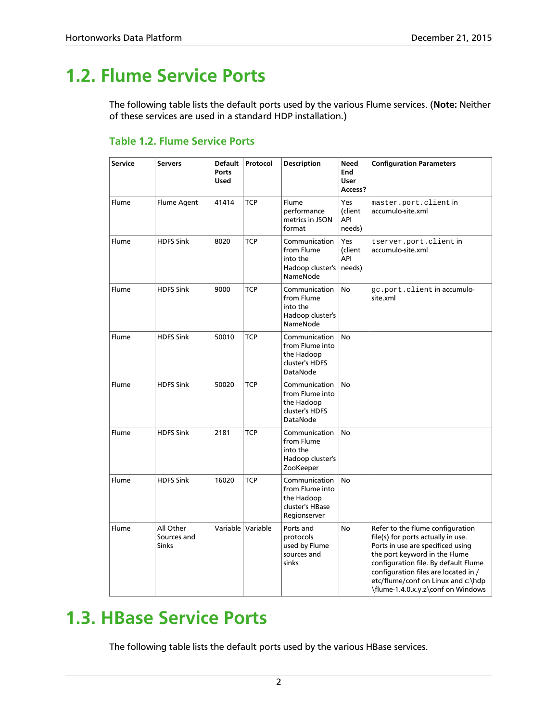### <span id="page-5-0"></span>**1.2. Flume Service Ports**

The following table lists the default ports used by the various Flume services. (**Note:** Neither of these services are used in a standard HDP installation.)

### <span id="page-5-2"></span>**Table 1.2. Flume Service Ports**

| <b>Service</b> | <b>Servers</b>                           | Default<br><b>Ports</b><br>Used | Protocol            | <b>Description</b>                                                                | <b>Need</b><br>End<br><b>User</b><br>Access? | <b>Configuration Parameters</b>                                                                                                                                                                                                                                                                          |
|----------------|------------------------------------------|---------------------------------|---------------------|-----------------------------------------------------------------------------------|----------------------------------------------|----------------------------------------------------------------------------------------------------------------------------------------------------------------------------------------------------------------------------------------------------------------------------------------------------------|
| Flume          | <b>Flume Agent</b>                       | 41414                           | <b>TCP</b>          | Flume<br>performance<br>metrics in JSON<br>format                                 | Yes<br>(client<br>API<br>needs)              | master.port.client in<br>accumulo-site.xml                                                                                                                                                                                                                                                               |
| Flume          | <b>HDFS Sink</b>                         | 8020                            | <b>TCP</b>          | Communication<br>from Flume<br>into the<br>Hadoop cluster's   needs)<br>NameNode  | Yes<br>(client<br>API                        | tserver.port.clientin<br>accumulo-site.xml                                                                                                                                                                                                                                                               |
| Flume          | <b>HDFS Sink</b>                         | 9000                            | TCP                 | Communication<br>from Flume<br>into the<br>Hadoop cluster's<br>NameNode           | No                                           | gc.port.client in accumulo-<br>site.xml                                                                                                                                                                                                                                                                  |
| Flume          | <b>HDFS Sink</b>                         | 50010                           | <b>TCP</b>          | Communication<br>from Flume into<br>the Hadoop<br>cluster's HDFS<br>DataNode      | No                                           |                                                                                                                                                                                                                                                                                                          |
| Flume          | <b>HDFS Sink</b>                         | 50020                           | <b>TCP</b>          | Communication<br>from Flume into<br>the Hadoop<br>cluster's HDFS<br>DataNode      | <b>No</b>                                    |                                                                                                                                                                                                                                                                                                          |
| Flume          | <b>HDFS Sink</b>                         | 2181                            | <b>TCP</b>          | Communication<br>from Flume<br>into the<br>Hadoop cluster's<br>ZooKeeper          | No                                           |                                                                                                                                                                                                                                                                                                          |
| Flume          | <b>HDFS Sink</b>                         | 16020                           | TCP                 | Communication<br>from Flume into<br>the Hadoop<br>cluster's HBase<br>Regionserver | No                                           |                                                                                                                                                                                                                                                                                                          |
| Flume          | All Other<br>Sources and<br><b>Sinks</b> |                                 | Variable   Variable | Ports and<br>protocols<br>used by Flume<br>sources and<br>sinks                   | No                                           | Refer to the flume configuration<br>file(s) for ports actually in use.<br>Ports in use are specificed using<br>the port keyword in the Flume<br>configuration file. By default Flume<br>configuration files are located in /<br>etc/flume/conf on Linux and c:\hdp<br>\flume-1.4.0.x.y.z\conf on Windows |

### <span id="page-5-1"></span>**1.3. HBase Service Ports**

The following table lists the default ports used by the various HBase services.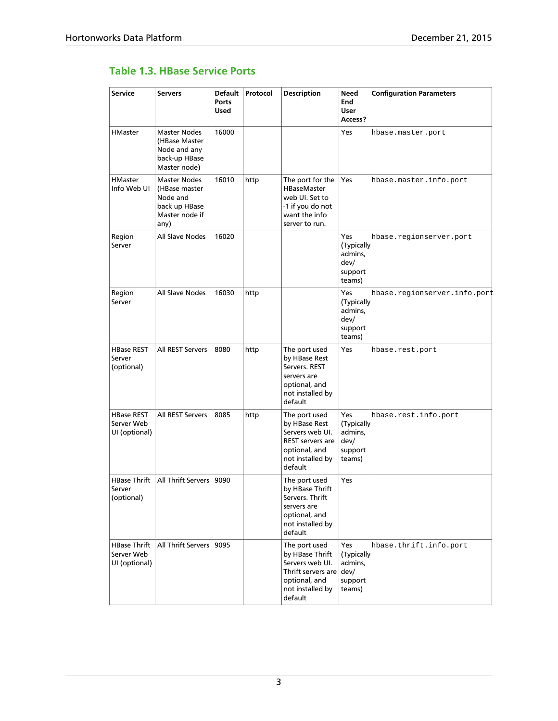### <span id="page-6-0"></span>**Table 1.3. HBase Service Ports**

| <b>Service</b>                                     | <b>Servers</b>                                                                              | <b>Default</b><br><b>Ports</b><br><b>Used</b> | Protocol | <b>Description</b>                                                                                                               | <b>Need</b><br>End<br>User<br>Access?                            | <b>Configuration Parameters</b> |
|----------------------------------------------------|---------------------------------------------------------------------------------------------|-----------------------------------------------|----------|----------------------------------------------------------------------------------------------------------------------------------|------------------------------------------------------------------|---------------------------------|
| <b>HMaster</b>                                     | Master Nodes<br>(HBase Master<br>Node and any<br>back-up HBase<br>Master node)              | 16000                                         |          |                                                                                                                                  | Yes                                                              | hbase.master.port               |
| <b>HMaster</b><br>Info Web UI                      | <b>Master Nodes</b><br>(HBase master<br>Node and<br>back up HBase<br>Master node if<br>any) | 16010                                         | http     | The port for the<br><b>HBaseMaster</b><br>web UI. Set to<br>-1 if you do not<br>want the info<br>server to run.                  | Yes                                                              | hbase.master.info.port          |
| Region<br>Server                                   | All Slave Nodes                                                                             | 16020                                         |          |                                                                                                                                  | <b>Yes</b><br>(Typically<br>admins,<br>dev/<br>support<br>teams) | hbase.regionserver.port         |
| Region<br>Server                                   | All Slave Nodes                                                                             | 16030                                         | http     |                                                                                                                                  | Yes<br>(Typically<br>admins,<br>dev/<br>support<br>teams)        | hbase.regionserver.info.port    |
| <b>HBase REST</b><br>Server<br>(optional)          | All REST Servers                                                                            | 8080                                          | http     | The port used<br>by HBase Rest<br>Servers. REST<br>servers are<br>optional, and<br>not installed by<br>default                   | Yes                                                              | hbase.rest.port                 |
| <b>HBase REST</b><br>Server Web<br>UI (optional)   | All REST Servers                                                                            | 8085                                          | http     | The port used<br>by HBase Rest<br>Servers web UI.<br><b>REST servers are</b><br>optional, and<br>not installed by<br>default     | Yes<br>(Typically<br>admins,<br>dev/<br>support<br>teams)        | hbase.rest.info.port            |
| <b>HBase Thrift</b><br>Server<br>(optional)        | All Thrift Servers                                                                          | 9090                                          |          | The port used<br>by HBase Thrift<br>Servers. Thrift<br>servers are<br>optional, and<br>not installed by<br>default               | Yes                                                              |                                 |
| <b>HBase Thrift</b><br>Server Web<br>UI (optional) | All Thrift Servers                                                                          | 9095                                          |          | The port used<br>by HBase Thrift<br>Servers web UI.<br>Thrift servers are $dev/$<br>optional, and<br>not installed by<br>default | Yes<br>(Typically<br>admins,<br>support<br>teams)                | hbase.thrift.info.port          |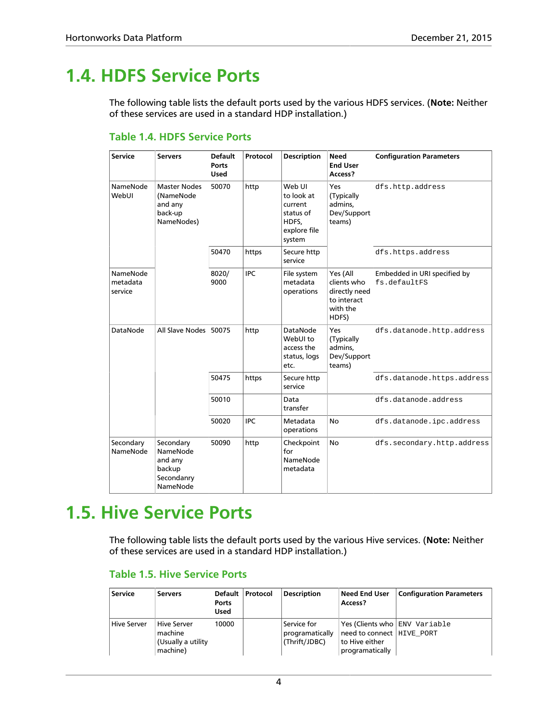### <span id="page-7-0"></span>**1.4. HDFS Service Ports**

The following table lists the default ports used by the various HDFS services. (**Note:** Neither of these services are used in a standard HDP installation.)

| <b>Service</b>                  | <b>Servers</b>                                                       | <b>Default</b><br>Ports<br><b>Used</b> | Protocol   | <b>Description</b>                                                              | <b>Need</b><br><b>End User</b><br>Access?                                    | <b>Configuration Parameters</b>              |
|---------------------------------|----------------------------------------------------------------------|----------------------------------------|------------|---------------------------------------------------------------------------------|------------------------------------------------------------------------------|----------------------------------------------|
| NameNode<br>WebUI               | <b>Master Nodes</b><br>(NameNode<br>and any<br>back-up<br>NameNodes) | 50070                                  | http       | Web UI<br>to look at<br>current<br>status of<br>HDFS,<br>explore file<br>system | Yes<br>(Typically<br>admins,<br>Dev/Support<br>teams)                        | dfs.http.address                             |
|                                 |                                                                      | 50470                                  | https      | Secure http<br>service                                                          |                                                                              | dfs.https.address                            |
| NameNode<br>metadata<br>service |                                                                      | 8020/<br>9000                          | <b>IPC</b> | File system<br>metadata<br>operations                                           | Yes (All<br>clients who<br>directly need<br>to interact<br>with the<br>HDFS) | Embedded in URI specified by<br>fs.defaultFS |
| DataNode                        | All Slave Nodes                                                      | 50075                                  | http       | <b>DataNode</b><br>WebUI to<br>access the<br>status, logs<br>etc.               | Yes<br>(Typically<br>admins.<br>Dev/Support<br>teams)                        | dfs.datanode.http.address                    |
|                                 |                                                                      | 50475                                  | https      | Secure http<br>service                                                          |                                                                              | dfs.datanode.https.address                   |
|                                 |                                                                      | 50010                                  |            | Data<br>transfer                                                                |                                                                              | dfs.datanode.address                         |
|                                 |                                                                      | 50020                                  | <b>IPC</b> | Metadata<br>operations                                                          | <b>No</b>                                                                    | dfs.datanode.ipc.address                     |
| Secondary<br>NameNode           | Secondary<br>NameNode<br>and any<br>backup<br>Secondanry<br>NameNode | 50090                                  | http       | Checkpoint<br>for<br>NameNode<br>metadata                                       | No                                                                           | dfs.secondary.http.address                   |

### <span id="page-7-2"></span>**Table 1.4. HDFS Service Ports**

### <span id="page-7-1"></span>**1.5. Hive Service Ports**

The following table lists the default ports used by the various Hive services. (**Note:** Neither of these services are used in a standard HDP installation.)

| <b>Service</b>     | <b>Servers</b>                                           | Default  <br>Ports<br><b>Used</b> | <b>Protocol</b> | <b>Description</b>                              | <b>Need End User</b><br>Access?                                  | <b>Configuration Parameters</b> |
|--------------------|----------------------------------------------------------|-----------------------------------|-----------------|-------------------------------------------------|------------------------------------------------------------------|---------------------------------|
| <b>Hive Server</b> | Hive Server<br>machine<br>(Usually a utility<br>machine) | 10000                             |                 | Service for<br>programatically<br>(Thrift/JDBC) | need to connect   HIVE PORT<br>to Hive either<br>programatically | Yes (Clients who ENV Variable   |

#### <span id="page-7-3"></span>**Table 1.5. Hive Service Ports**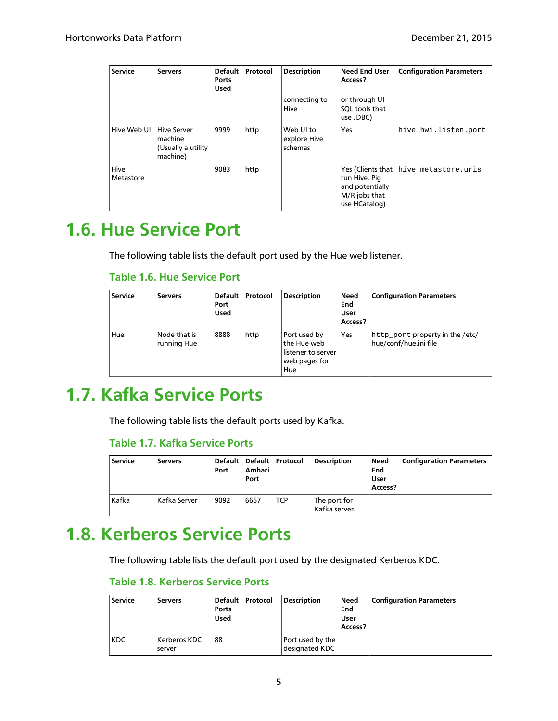| <b>Service</b>    | <b>Servers</b>                                                  | <b>Default</b><br><b>Ports</b><br><b>Used</b> | Protocol | <b>Description</b>                   | <b>Need End User</b><br>Access?                                    | <b>Configuration Parameters</b>       |
|-------------------|-----------------------------------------------------------------|-----------------------------------------------|----------|--------------------------------------|--------------------------------------------------------------------|---------------------------------------|
|                   |                                                                 |                                               |          | connecting to<br>Hive                | or through UI<br>SQL tools that<br>use JDBC)                       |                                       |
| Hive Web UI       | <b>Hive Server</b><br>machine<br>(Usually a utility<br>machine) | 9999                                          | http     | Web UI to<br>explore Hive<br>schemas | Yes                                                                | hive.hwi.listen.port                  |
| Hive<br>Metastore |                                                                 | 9083                                          | http     |                                      | run Hive, Pig<br>and potentially<br>M/R jobs that<br>use HCatalog) | Yes (Clients that hive.metastore.uris |

### <span id="page-8-3"></span><span id="page-8-0"></span>**1.6. Hue Service Port**

The following table lists the default port used by the Hue web listener.

#### **Table 1.6. Hue Service Port**

| <b>Service</b> | <b>Servers</b>              | <b>Default</b><br>Port<br><b>Used</b> | Protocol | <b>Description</b>                                                             | Need<br>End<br>User<br>Access? | <b>Configuration Parameters</b>                          |
|----------------|-----------------------------|---------------------------------------|----------|--------------------------------------------------------------------------------|--------------------------------|----------------------------------------------------------|
| Hue            | Node that is<br>running Hue | 8888                                  | http     | Port used by<br>$\,$ the Hue web<br>listener to server<br>web pages for<br>Hue | Yes                            | http_port property in the /etc/<br>hue/conf/hue.ini file |

### <span id="page-8-4"></span><span id="page-8-1"></span>**1.7. Kafka Service Ports**

The following table lists the default ports used by Kafka.

### **Table 1.7. Kafka Service Ports**

| <b>Service</b> | <b>Servers</b> | Default  <br>Port | Default  <br>Ambari<br>Port | Protocol   | <b>Description</b>            | Need<br>End<br>User<br>Access? | Configuration Parameters |
|----------------|----------------|-------------------|-----------------------------|------------|-------------------------------|--------------------------------|--------------------------|
| Kafka          | : Kafka Server | 9092              | 6667                        | <b>TCP</b> | The port for<br>Kafka server. |                                |                          |

### <span id="page-8-5"></span><span id="page-8-2"></span>**1.8. Kerberos Service Ports**

The following table lists the default port used by the designated Kerberos KDC.

### **Table 1.8. Kerberos Service Ports**

| <b>Service</b> | <b>Servers</b>         | Default<br>Ports<br><b>Used</b> | Protocol | <b>Description</b>                 | Need<br>End<br>User<br>Access? | <b>Configuration Parameters</b> |
|----------------|------------------------|---------------------------------|----------|------------------------------------|--------------------------------|---------------------------------|
| <b>KDC</b>     | Kerberos KDC<br>server | 88                              |          | Port used by the<br>designated KDC |                                |                                 |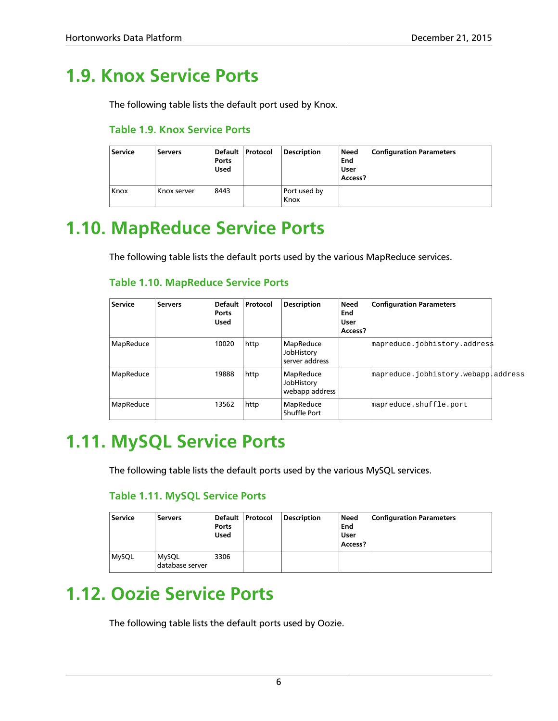### <span id="page-9-0"></span>**1.9. Knox Service Ports**

<span id="page-9-4"></span>The following table lists the default port used by Knox.

### **Table 1.9. Knox Service Ports**

| <b>Service</b> | <b>Servers</b> | Default  <br>Ports<br><b>Used</b> | <b>Protocol</b> | <b>Description</b>   | Need<br>End<br>User<br>Access? | <b>Configuration Parameters</b> |
|----------------|----------------|-----------------------------------|-----------------|----------------------|--------------------------------|---------------------------------|
| Knox           | Knox server    | 8443                              |                 | Port used by<br>Knox |                                |                                 |

### <span id="page-9-1"></span>**1.10. MapReduce Service Ports**

The following table lists the default ports used by the various MapReduce services.

#### <span id="page-9-5"></span>**Table 1.10. MapReduce Service Ports**

| <b>Service</b> | <b>Servers</b> | <b>Default</b><br>Ports<br><b>Used</b> | Protocol | <b>Description</b>                        | <b>Need</b><br>End<br><b>User</b><br>Access? | <b>Configuration Parameters</b>     |  |
|----------------|----------------|----------------------------------------|----------|-------------------------------------------|----------------------------------------------|-------------------------------------|--|
| MapReduce      |                | 10020                                  | http     | MapReduce<br>JobHistory<br>server address |                                              | mapreduce.jobhistory.address        |  |
| MapReduce      |                | 19888                                  | http     | MapReduce<br>JobHistory<br>webapp address |                                              | mapreduce.jobhistory.webappladdress |  |
| MapReduce      |                | 13562                                  | http     | MapReduce<br>Shuffle Port                 |                                              | mapreduce.shuffle.port              |  |

### <span id="page-9-2"></span>**1.11. MySQL Service Ports**

<span id="page-9-6"></span>The following table lists the default ports used by the various MySQL services.

### **Table 1.11. MySQL Service Ports**

| <b>Service</b> | <b>Servers</b>                  | Ports<br><b>Used</b> | Default   Protocol | <b>Description</b> | Need<br>End<br>User<br>Access? | <b>Configuration Parameters</b> |
|----------------|---------------------------------|----------------------|--------------------|--------------------|--------------------------------|---------------------------------|
| <b>MySQL</b>   | <b>MySQL</b><br>database server | 3306                 |                    |                    |                                |                                 |

### <span id="page-9-3"></span>**1.12. Oozie Service Ports**

The following table lists the default ports used by Oozie.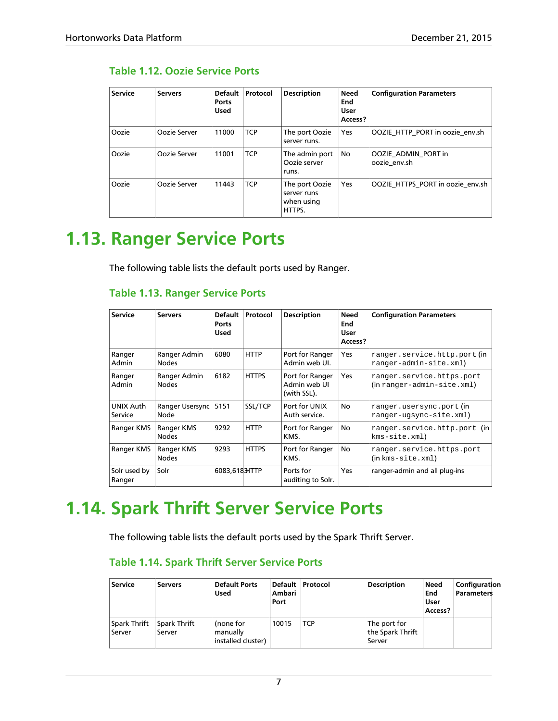### <span id="page-10-2"></span>**Table 1.12. Oozie Service Ports**

| <b>Service</b> | <b>Servers</b> | <b>Default</b><br>Ports<br><b>Used</b> | Protocol   | <b>Description</b>                                    | <b>Need</b><br>End<br>User<br>Access? | <b>Configuration Parameters</b>     |
|----------------|----------------|----------------------------------------|------------|-------------------------------------------------------|---------------------------------------|-------------------------------------|
| Oozie          | Oozie Server   | 11000                                  | <b>TCP</b> | The port Oozie<br>server runs.                        | <b>Yes</b>                            | OOZIE HTTP PORT in oozie env.sh     |
| Oozie          | Oozie Server   | 11001                                  | <b>TCP</b> | The admin port<br>Oozie server<br>runs.               | No                                    | OOZIE ADMIN PORT in<br>oozie env.sh |
| Oozie          | Oozie Server   | 11443                                  | <b>TCP</b> | The port Oozie<br>server runs<br>when using<br>HTTPS. | Yes                                   | OOZIE HTTPS PORT in oozie env.sh    |

### <span id="page-10-0"></span>**1.13. Ranger Service Ports**

<span id="page-10-3"></span>The following table lists the default ports used by Ranger.

### **Table 1.13. Ranger Service Ports**

| <b>Service</b>         | <b>Servers</b>               | <b>Default</b><br><b>Ports</b><br><b>Used</b> | Protocol     | <b>Description</b>                             | Need<br>End<br>User<br>Access? | <b>Configuration Parameters</b>                                |
|------------------------|------------------------------|-----------------------------------------------|--------------|------------------------------------------------|--------------------------------|----------------------------------------------------------------|
| Ranger<br>Admin        | Ranger Admin<br><b>Nodes</b> | 6080                                          | <b>HTTP</b>  | Port for Ranger<br>Admin web UI.               | Yes                            | ranger.service.http.port(in<br>ranger-admin-site.xml)          |
| Ranger<br>Admin        | Ranger Admin<br><b>Nodes</b> | 6182                                          | <b>HTTPS</b> | Port for Ranger<br>Admin web UI<br>(with SSL). | Yes                            | ranger.service.https.port<br>$(in range r$ -admin-site.xml $)$ |
| UNIX Auth<br>Service   | Ranger Usersync<br>Node      | 5151                                          | SSL/TCP      | Port for UNIX<br>Auth service.                 | No                             | ranger.usersync.port(in<br>ranger-ugsync-site.xml)             |
| Ranger KMS             | Ranger KMS<br><b>Nodes</b>   | 9292                                          | <b>HTTP</b>  | Port for Ranger<br>KMS.                        | No                             | ranger.service.http.port (in<br>$km s$ -site. $xml$ )          |
| Ranger KMS             | Ranger KMS<br><b>Nodes</b>   | 9293                                          | <b>HTTPS</b> | Port for Ranger<br>KMS.                        | No                             | ranger.service.https.port<br>$(in$ $kms$ -site. $xml)$         |
| Solr used by<br>Ranger | Solr                         | 6083,6183HTTP                                 |              | Ports for<br>auditing to Solr.                 | <b>Yes</b>                     | ranger-admin and all plug-ins                                  |

### <span id="page-10-1"></span>**1.14. Spark Thrift Server Service Ports**

<span id="page-10-4"></span>The following table lists the default ports used by the Spark Thrift Server.

### **Table 1.14. Spark Thrift Server Service Ports**

| Service                | <b>Servers</b>         | <b>Default Ports</b><br>Used                | Ambari<br>Port | Default   Protocol | <b>Description</b>                         | Need<br>End<br>User<br>Access? | Configuration<br>Parameters |
|------------------------|------------------------|---------------------------------------------|----------------|--------------------|--------------------------------------------|--------------------------------|-----------------------------|
| Spark Thrift<br>Server | Spark Thrift<br>Server | (none for<br>manually<br>installed cluster) | 10015          | <b>TCP</b>         | The port for<br>the Spark Thrift<br>Server |                                |                             |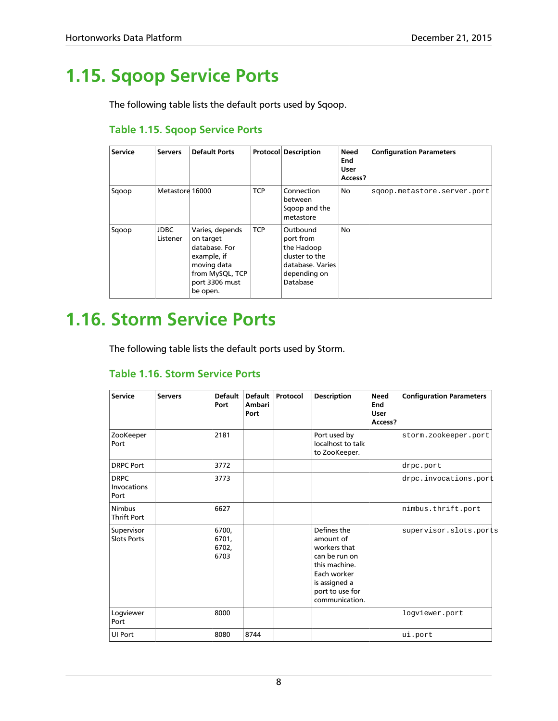### <span id="page-11-0"></span>**1.15. Sqoop Service Ports**

The following table lists the default ports used by Sqoop.

### <span id="page-11-2"></span>**Table 1.15. Sqoop Service Ports**

| <b>Service</b> | <b>Servers</b>          | <b>Default Ports</b>                                                                                                         |            | <b>Protocol Description</b>                                                                           | <b>Need</b><br>End<br>User<br>Access? | <b>Configuration Parameters</b> |
|----------------|-------------------------|------------------------------------------------------------------------------------------------------------------------------|------------|-------------------------------------------------------------------------------------------------------|---------------------------------------|---------------------------------|
| Sqoop          | Metastore 16000         |                                                                                                                              | <b>TCP</b> | Connection<br>between<br>Sgoop and the<br>metastore                                                   | No                                    | sqoop.metastore.server.port     |
| Sqoop          | <b>JDBC</b><br>Listener | Varies, depends<br>on target<br>database. For<br>example, if<br>moving data<br>from MySQL, TCP<br>port 3306 must<br>be open. | <b>TCP</b> | Outbound<br>port from<br>the Hadoop<br>cluster to the<br>database. Varies<br>depending on<br>Database | No                                    |                                 |

### <span id="page-11-1"></span>**1.16. Storm Service Ports**

<span id="page-11-3"></span>The following table lists the default ports used by Storm.

#### **Table 1.16. Storm Service Ports**

| <b>Service</b>                      | <b>Servers</b> | <b>Default</b><br>Port          | <b>Default</b><br><b>Ambari</b><br>Port | Protocol | <b>Description</b>                                                                                                                              | <b>Need</b><br>End<br><b>User</b><br>Access? | <b>Configuration Parameters</b> |
|-------------------------------------|----------------|---------------------------------|-----------------------------------------|----------|-------------------------------------------------------------------------------------------------------------------------------------------------|----------------------------------------------|---------------------------------|
| ZooKeeper<br>Port                   |                | 2181                            |                                         |          | Port used by<br>localhost to talk<br>to ZooKeeper.                                                                                              |                                              | storm.zookeeper.port            |
| <b>DRPC Port</b>                    |                | 3772                            |                                         |          |                                                                                                                                                 |                                              | drpc.port                       |
| <b>DRPC</b><br>Invocations<br>Port  |                | 3773                            |                                         |          |                                                                                                                                                 |                                              | drpc.invocations.port           |
| <b>Nimbus</b><br><b>Thrift Port</b> |                | 6627                            |                                         |          |                                                                                                                                                 |                                              | nimbus.thrift.port              |
| Supervisor<br><b>Slots Ports</b>    |                | 6700,<br>6701,<br>6702,<br>6703 |                                         |          | Defines the<br>amount of<br>workers that<br>can be run on<br>this machine.<br>Each worker<br>is assigned a<br>port to use for<br>communication. |                                              | supervisor.slots.ports          |
| Logviewer<br>Port                   |                | 8000                            |                                         |          |                                                                                                                                                 |                                              | logviewer.port                  |
| UI Port                             |                | 8080                            | 8744                                    |          |                                                                                                                                                 |                                              | ui.port                         |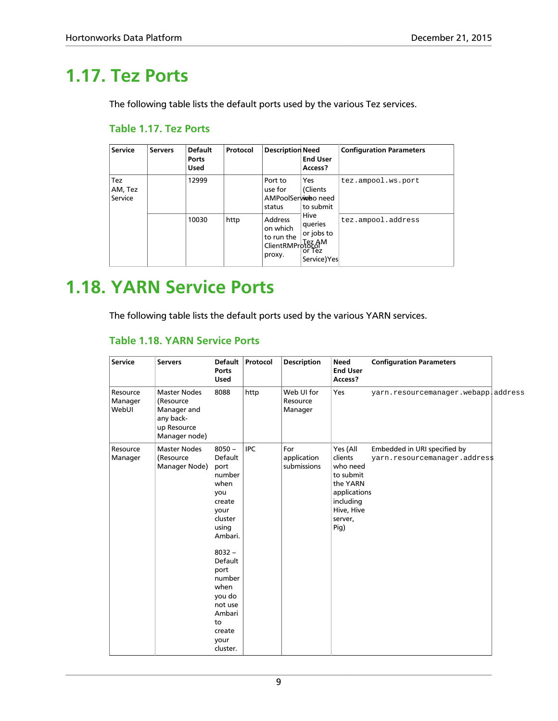### <span id="page-12-0"></span>**1.17. Tez Ports**

<span id="page-12-2"></span>The following table lists the default ports used by the various Tez services.

#### **Table 1.17. Tez Ports**

| <b>Service</b>                   | <b>Servers</b> | <b>Default</b><br>Ports<br><b>Used</b>                                                                                                                                                                            | Protocol  | <b>Description Need</b>    | <b>End User</b><br>Access? | <b>Configuration Parameters</b> |
|----------------------------------|----------------|-------------------------------------------------------------------------------------------------------------------------------------------------------------------------------------------------------------------|-----------|----------------------------|----------------------------|---------------------------------|
| <b>Tez</b><br>AM, Tez<br>Service |                | 12999<br>Yes<br>Port to<br>use for<br>(Clients<br>AMPoolSerwideo need<br>status<br>Hive<br><b>Address</b><br>10030<br>http<br>queries<br>on which<br>to run the<br>Cordinate Tez AM<br>ClientRMProtocol<br>proxy. | to submit | tez.ampool.ws.port         |                            |                                 |
|                                  |                |                                                                                                                                                                                                                   |           | or jobs to<br>Service) Yes | tez.ampool.address         |                                 |

### <span id="page-12-1"></span>**1.18. YARN Service Ports**

<span id="page-12-3"></span>The following table lists the default ports used by the various YARN services.

#### **Table 1.18. YARN Service Ports**

| <b>Service</b>               | <b>Servers</b>                                                                               | <b>Default</b><br>Ports<br><b>Used</b>                                                                                                                                                                                    | Protocol   | <b>Description</b>                | <b>Need</b><br><b>End User</b><br>Access?                                                                              | <b>Configuration Parameters</b>                               |  |
|------------------------------|----------------------------------------------------------------------------------------------|---------------------------------------------------------------------------------------------------------------------------------------------------------------------------------------------------------------------------|------------|-----------------------------------|------------------------------------------------------------------------------------------------------------------------|---------------------------------------------------------------|--|
| Resource<br>Manager<br>WebUI | <b>Master Nodes</b><br>(Resource<br>Manager and<br>any back-<br>up Resource<br>Manager node) | 8088                                                                                                                                                                                                                      | http       | Web UI for<br>Resource<br>Manager | Yes                                                                                                                    | yarn.resourcemanager.webappladdress                           |  |
| Resource<br>Manager          | <b>Master Nodes</b><br>(Resource<br>Manager Node)                                            | $8050 -$<br>Default<br>port<br>number<br>when<br>you<br>create<br>vour<br>cluster<br>using<br>Ambari.<br>$8032 -$<br>Default<br>port<br>number<br>when<br>you do<br>not use<br>Ambari<br>to<br>create<br>your<br>cluster. | <b>IPC</b> | For<br>application<br>submissions | Yes (All<br>clients<br>who need<br>to submit<br>the YARN<br>applications<br>including<br>Hive, Hive<br>server,<br>Pig) | Embedded in URI specified by<br>yarn.resourcemanager.addres\$ |  |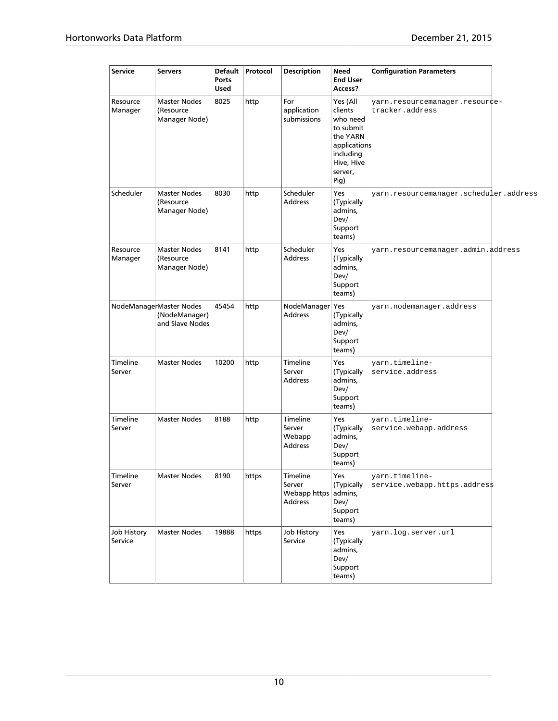| <b>Service</b>            | <b>Servers</b>                                              | Default<br><b>Ports</b><br><b>Used</b> | Protocol | <b>Description</b>                                    | Need<br><b>End User</b><br>Access?                                                                                     | <b>Configuration Parameters</b>                   |  |
|---------------------------|-------------------------------------------------------------|----------------------------------------|----------|-------------------------------------------------------|------------------------------------------------------------------------------------------------------------------------|---------------------------------------------------|--|
| Resource<br>Manager       | <b>Master Nodes</b><br>(Resource<br>Manager Node)           | 8025                                   | http     | For<br>application<br>submissions                     | Yes (All<br>clients<br>who need<br>to submit<br>the YARN<br>applications<br>including<br>Hive, Hive<br>server,<br>Pig) | yarn.resourcemanager.resour¢e-<br>tracker.address |  |
| Scheduler                 | <b>Master Nodes</b><br>(Resource<br>Manager Node)           | 8030                                   | http     | Scheduler<br><b>Address</b>                           | Yes<br>(Typically<br>admins,<br>Dev/<br>Support<br>teams)                                                              | yarn.resourcemanager.scheduler.address            |  |
| Resource<br>Manager       | <b>Master Nodes</b><br>(Resource<br>Manager Node)           | 8141                                   | http     | Scheduler<br><b>Address</b>                           | Yes<br>(Typically<br>admins,<br>Dev/<br>Support<br>teams)                                                              | yarn.resourcemanager.admin.address                |  |
|                           | NodeManagerMaster Nodes<br>(NodeManager)<br>and Slave Nodes | 45454                                  | http     | NodeManager Yes<br><b>Address</b>                     | (Typically<br>admins,<br>Dev/<br>Support<br>teams)                                                                     | yarn.nodemanager.address                          |  |
| <b>Timeline</b><br>Server | <b>Master Nodes</b>                                         | 10200                                  | http     | Timeline<br>Server<br><b>Address</b>                  | Yes<br>(Typically<br>admins,<br>Dev/<br>Support<br>teams)                                                              | yarn.timeline-<br>service.address                 |  |
| <b>Timeline</b><br>Server | <b>Master Nodes</b>                                         | 8188                                   | http     | <b>Timeline</b><br>Server<br>Webapp<br><b>Address</b> | Yes<br>(Typically<br>admins,<br>Dev/<br>Support<br>teams)                                                              | yarn.timeline-<br>service.webapp.address          |  |
| Timeline<br>Server        | <b>Master Nodes</b>                                         | 8190                                   | https    | Timeline<br>Server<br>Webapp https<br><b>Address</b>  | Yes<br>(Typically<br>admins,<br>Dev/<br>Support<br>teams)                                                              | yarn.timeline-<br>service.webapp.https.addres\$   |  |
| Job History<br>Service    | <b>Master Nodes</b>                                         | 19888                                  | https    | Job History<br>Service                                | Yes<br>(Typically<br>admins,<br>Dev/<br>Support<br>teams)                                                              | yarn.log.server.url                               |  |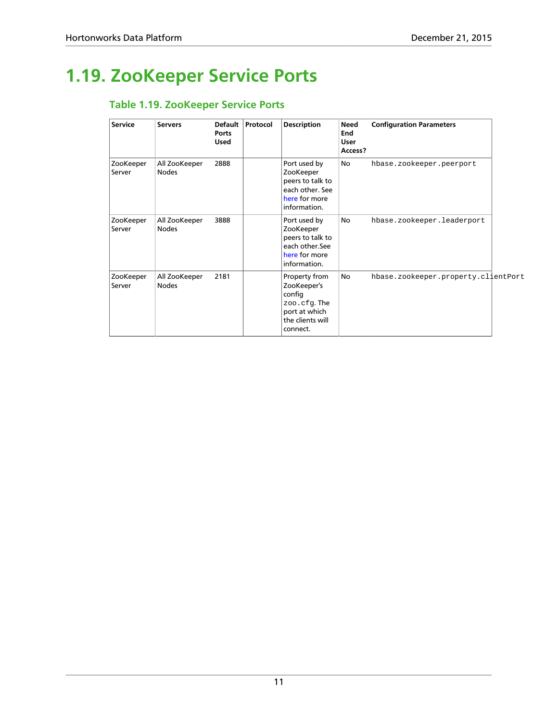### <span id="page-14-1"></span><span id="page-14-0"></span>**1.19. ZooKeeper Service Ports**

### **Table 1.19. ZooKeeper Service Ports**

| <b>Service</b>      | <b>Servers</b>                | Default<br>Ports<br><b>Used</b> | Protocol | <b>Description</b>                                                                                     | <b>Need</b><br>End<br><b>User</b><br>Access? | <b>Configuration Parameters</b>     |  |
|---------------------|-------------------------------|---------------------------------|----------|--------------------------------------------------------------------------------------------------------|----------------------------------------------|-------------------------------------|--|
| ZooKeeper<br>Server | All ZooKeeper<br><b>Nodes</b> | 2888                            |          | Port used by<br>ZooKeeper<br>peers to talk to<br>each other. See<br>here for more<br>information.      | No                                           | hbase.zookeeper.peerport            |  |
| ZooKeeper<br>Server | All ZooKeeper<br><b>Nodes</b> | 3888                            |          | Port used by<br>ZooKeeper<br>peers to talk to<br>each other.See<br>here for more<br>information.       | No                                           | hbase.zookeeper.leaderport          |  |
| ZooKeeper<br>Server | All ZooKeeper<br><b>Nodes</b> | 2181                            |          | Property from<br>ZooKeeper's<br>config<br>zoo.cfg.The<br>port at which<br>the clients will<br>connect. | No                                           | hbase.zookeeper.property.clientPort |  |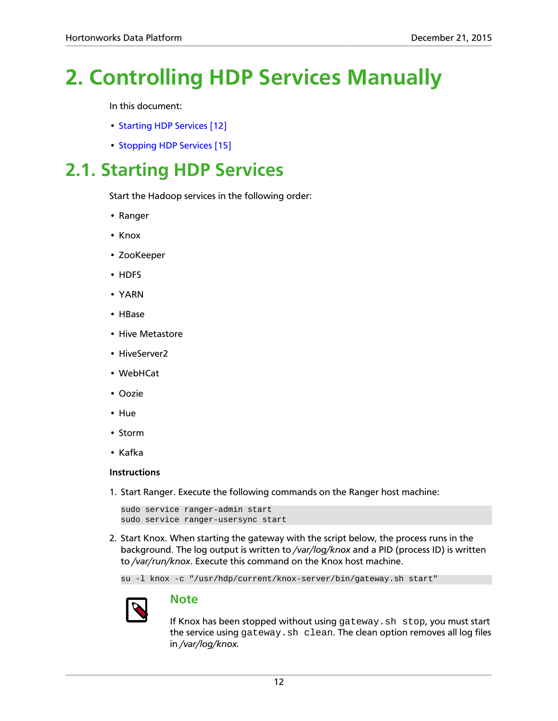# <span id="page-15-0"></span>**2. Controlling HDP Services Manually**

In this document:

- [Starting HDP Services \[12\]](#page-15-1)
- [Stopping HDP Services \[15\]](#page-18-0)

### <span id="page-15-1"></span>**2.1. Starting HDP Services**

Start the Hadoop services in the following order:

- Ranger
- Knox
- ZooKeeper
- HDFS
- YARN
- HBase
- Hive Metastore
- HiveServer2
- WebHCat
- Oozie
- Hue
- Storm
- Kafka

#### **Instructions**

1. Start Ranger. Execute the following commands on the Ranger host machine:

```
sudo service ranger-admin start
sudo service ranger-usersync start
```
2. Start Knox. When starting the gateway with the script below, the process runs in the background. The log output is written to */var/log/knox* and a PID (process ID) is written to */var/run/knox*. Execute this command on the Knox host machine.

su -l knox -c "/usr/hdp/current/knox-server/bin/gateway.sh start"



### **Note**

If Knox has been stopped without using gateway.sh stop, you must start the service using gateway.sh clean. The clean option removes all log files in */var/log/knox.*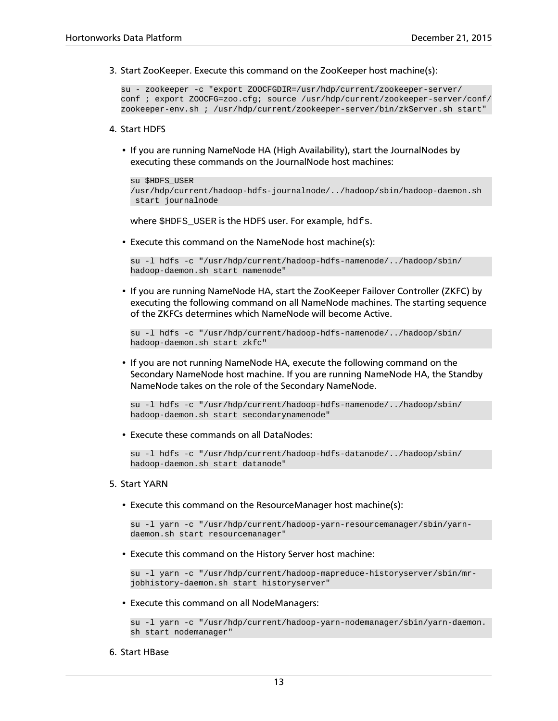3. Start ZooKeeper. Execute this command on the ZooKeeper host machine(s):

```
su - zookeeper -c "export ZOOCFGDIR=/usr/hdp/current/zookeeper-server/
conf ; export ZOOCFG=zoo.cfg; source /usr/hdp/current/zookeeper-server/conf/
zookeeper-env.sh ; /usr/hdp/current/zookeeper-server/bin/zkServer.sh start"
```
#### 4. Start HDFS

• If you are running NameNode HA (High Availability), start the JournalNodes by executing these commands on the JournalNode host machines:

```
su $HDFS_USER 
/usr/hdp/current/hadoop-hdfs-journalnode/../hadoop/sbin/hadoop-daemon.sh
 start journalnode
```
where \$HDFS\_USER is the HDFS user. For example, hdfs.

• Execute this command on the NameNode host machine(s):

```
su -l hdfs -c "/usr/hdp/current/hadoop-hdfs-namenode/../hadoop/sbin/
hadoop-daemon.sh start namenode"
```
• If you are running NameNode HA, start the ZooKeeper Failover Controller (ZKFC) by executing the following command on all NameNode machines. The starting sequence of the ZKFCs determines which NameNode will become Active.

```
su -l hdfs -c "/usr/hdp/current/hadoop-hdfs-namenode/../hadoop/sbin/
hadoop-daemon.sh start zkfc"
```
• If you are not running NameNode HA, execute the following command on the Secondary NameNode host machine. If you are running NameNode HA, the Standby NameNode takes on the role of the Secondary NameNode.

```
su -l hdfs -c "/usr/hdp/current/hadoop-hdfs-namenode/../hadoop/sbin/
hadoop-daemon.sh start secondarynamenode"
```
• Execute these commands on all DataNodes:

```
su -l hdfs -c "/usr/hdp/current/hadoop-hdfs-datanode/../hadoop/sbin/
hadoop-daemon.sh start datanode"
```
#### 5. Start YARN

• Execute this command on the ResourceManager host machine(s):

```
su -l yarn -c "/usr/hdp/current/hadoop-yarn-resourcemanager/sbin/yarn-
daemon.sh start resourcemanager"
```
• Execute this command on the History Server host machine:

```
su -l yarn -c "/usr/hdp/current/hadoop-mapreduce-historyserver/sbin/mr-
jobhistory-daemon.sh start historyserver"
```
• Execute this command on all NodeManagers:

```
su -l yarn -c "/usr/hdp/current/hadoop-yarn-nodemanager/sbin/yarn-daemon.
sh start nodemanager"
```
6. Start HBase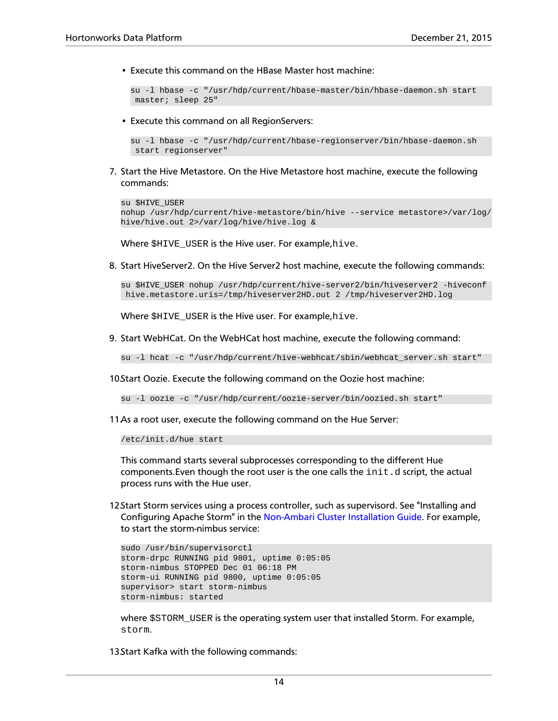• Execute this command on the HBase Master host machine:

su -l hbase -c "/usr/hdp/current/hbase-master/bin/hbase-daemon.sh start master; sleep 25"

• Execute this command on all RegionServers:

```
su -l hbase -c "/usr/hdp/current/hbase-regionserver/bin/hbase-daemon.sh
 start regionserver"
```
7. Start the Hive Metastore. On the Hive Metastore host machine, execute the following commands:

```
su $HIVE_USER 
nohup /usr/hdp/current/hive-metastore/bin/hive --service metastore>/var/log/
hive/hive.out 2>/var/log/hive/hive.log &
```
Where \$HIVE USER is the Hive user. For example, hive.

8. Start HiveServer2. On the Hive Server2 host machine, execute the following commands:

```
su $HIVE_USER nohup /usr/hdp/current/hive-server2/bin/hiveserver2 -hiveconf
 hive.metastore.uris=/tmp/hiveserver2HD.out 2 /tmp/hiveserver2HD.log
```
Where \$HIVE\_USER is the Hive user. For example,hive.

9. Start WebHCat. On the WebHCat host machine, execute the following command:

su -l hcat -c "/usr/hdp/current/hive-webhcat/sbin/webhcat\_server.sh start"

10.Start Oozie. Execute the following command on the Oozie host machine:

su -l oozie -c "/usr/hdp/current/oozie-server/bin/oozied.sh start"

11.As a root user, execute the following command on the Hue Server:

/etc/init.d/hue start

This command starts several subprocesses corresponding to the different Hue components. Even though the root user is the one calls the  $init.d$  script, the actual process runs with the Hue user.

12.Start Storm services using a process controller, such as supervisord. See "Installing and Configuring Apache Storm" in the [Non-Ambari Cluster Installation Guide.](https://docs.hortonworks.com/HDPDocuments/HDP2/HDP-2.3.4/bk_installing_manually_book/content/ch_getting_ready_chapter.html) For example, to start the storm-nimbus service:

```
sudo /usr/bin/supervisorctl 
storm-drpc RUNNING pid 9801, uptime 0:05:05
storm-nimbus STOPPED Dec 01 06:18 PM
storm-ui RUNNING pid 9800, uptime 0:05:05
supervisor> start storm-nimbus
storm-nimbus: started
```
where  $$STORM_JUSER$  is the operating system user that installed Storm. For example, storm.

13.Start Kafka with the following commands: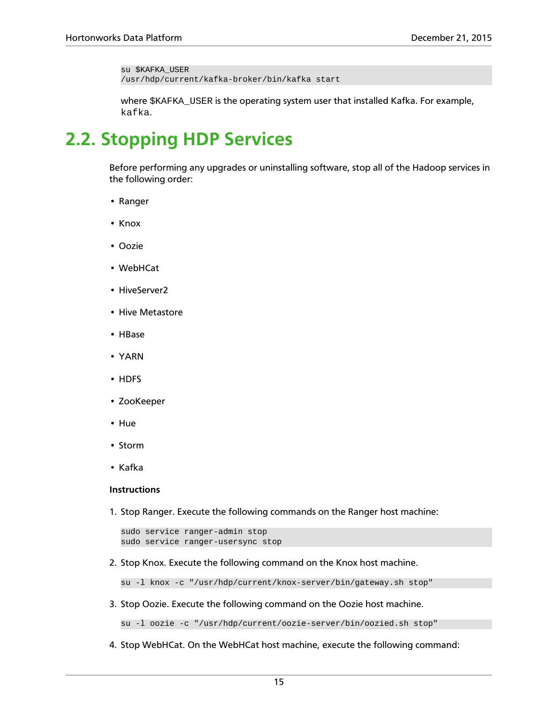su \$KAFKA\_USER /usr/hdp/current/kafka-broker/bin/kafka start

where SKAFKA USER is the operating system user that installed Kafka. For example, kafka.

### <span id="page-18-0"></span>**2.2. Stopping HDP Services**

Before performing any upgrades or uninstalling software, stop all of the Hadoop services in the following order:

- Ranger
- Knox
- Oozie
- WebHCat
- HiveServer2
- Hive Metastore
- HBase
- YARN
- HDFS
- ZooKeeper
- Hue
- Storm
- Kafka

#### **Instructions**

1. Stop Ranger. Execute the following commands on the Ranger host machine:

```
sudo service ranger-admin stop
sudo service ranger-usersync stop
```
2. Stop Knox. Execute the following command on the Knox host machine.

su -l knox -c "/usr/hdp/current/knox-server/bin/gateway.sh stop"

3. Stop Oozie. Execute the following command on the Oozie host machine.

su -l oozie -c "/usr/hdp/current/oozie-server/bin/oozied.sh stop"

4. Stop WebHCat. On the WebHCat host machine, execute the following command: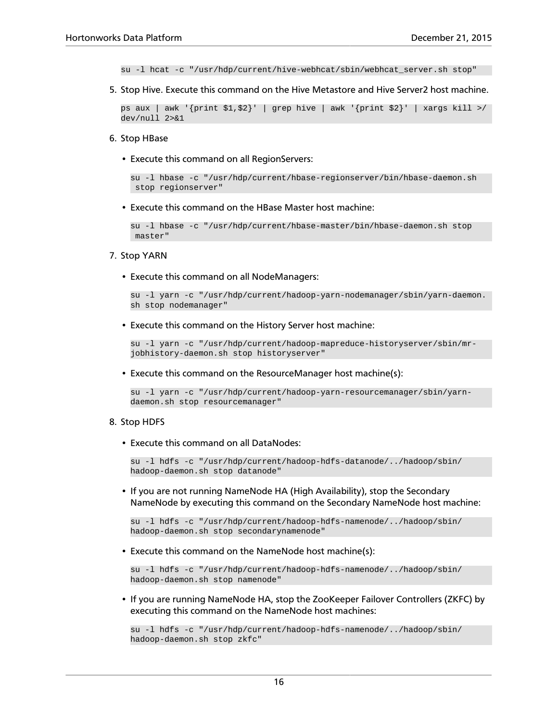su -l hcat -c "/usr/hdp/current/hive-webhcat/sbin/webhcat\_server.sh stop"

5. Stop Hive. Execute this command on the Hive Metastore and Hive Server2 host machine.

ps aux | awk '{print \$1,\$2}' | grep hive | awk '{print \$2}' | xargs kill >/ dev/null 2>&1

#### 6. Stop HBase

• Execute this command on all RegionServers:

```
su -l hbase -c "/usr/hdp/current/hbase-regionserver/bin/hbase-daemon.sh
 stop regionserver"
```
• Execute this command on the HBase Master host machine:

```
su -l hbase -c "/usr/hdp/current/hbase-master/bin/hbase-daemon.sh stop
 master"
```
#### 7. Stop YARN

• Execute this command on all NodeManagers:

```
su -l yarn -c "/usr/hdp/current/hadoop-yarn-nodemanager/sbin/yarn-daemon.
sh stop nodemanager"
```
• Execute this command on the History Server host machine:

```
su -l yarn -c "/usr/hdp/current/hadoop-mapreduce-historyserver/sbin/mr-
jobhistory-daemon.sh stop historyserver"
```
• Execute this command on the ResourceManager host machine(s):

```
su -l yarn -c "/usr/hdp/current/hadoop-yarn-resourcemanager/sbin/yarn-
daemon.sh stop resourcemanager"
```
#### 8. Stop HDFS

• Execute this command on all DataNodes:

```
su -l hdfs -c "/usr/hdp/current/hadoop-hdfs-datanode/../hadoop/sbin/
hadoop-daemon.sh stop datanode"
```
• If you are not running NameNode HA (High Availability), stop the Secondary NameNode by executing this command on the Secondary NameNode host machine:

```
su -l hdfs -c "/usr/hdp/current/hadoop-hdfs-namenode/../hadoop/sbin/
hadoop-daemon.sh stop secondarynamenode"
```
• Execute this command on the NameNode host machine(s):

```
su -l hdfs -c "/usr/hdp/current/hadoop-hdfs-namenode/../hadoop/sbin/
hadoop-daemon.sh stop namenode"
```
• If you are running NameNode HA, stop the ZooKeeper Failover Controllers (ZKFC) by executing this command on the NameNode host machines:

```
su -l hdfs -c "/usr/hdp/current/hadoop-hdfs-namenode/../hadoop/sbin/
hadoop-daemon.sh stop zkfc"
```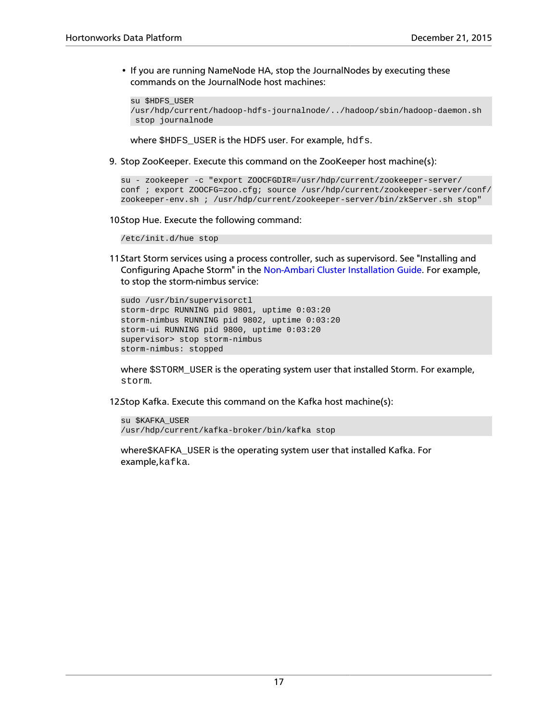• If you are running NameNode HA, stop the JournalNodes by executing these commands on the JournalNode host machines:

```
su $HDFS_USER 
/usr/hdp/current/hadoop-hdfs-journalnode/../hadoop/sbin/hadoop-daemon.sh
 stop journalnode
```
where \$HDFS\_USER is the HDFS user. For example, hdfs.

9. Stop ZooKeeper. Execute this command on the ZooKeeper host machine(s):

```
su - zookeeper -c "export ZOOCFGDIR=/usr/hdp/current/zookeeper-server/
conf ; export ZOOCFG=zoo.cfg; source /usr/hdp/current/zookeeper-server/conf/
zookeeper-env.sh ; /usr/hdp/current/zookeeper-server/bin/zkServer.sh stop"
```
10.Stop Hue. Execute the following command:

/etc/init.d/hue stop

11.Start Storm services using a process controller, such as supervisord. See "Installing and Configuring Apache Storm" in the [Non-Ambari Cluster Installation Guide.](https://docs.hortonworks.com/HDPDocuments/HDP2/HDP-2.3.4/bk_installing_manually_book/content/ch_getting_ready_chapter.html) For example, to stop the storm-nimbus service:

```
sudo /usr/bin/supervisorctl
storm-drpc RUNNING pid 9801, uptime 0:03:20
storm-nimbus RUNNING pid 9802, uptime 0:03:20
storm-ui RUNNING pid 9800, uptime 0:03:20
supervisor> stop storm-nimbus
storm-nimbus: stopped
```
where \$STORM\_USER is the operating system user that installed Storm. For example, storm.

12.Stop Kafka. Execute this command on the Kafka host machine(s):

```
su $KAFKA_USER
/usr/hdp/current/kafka-broker/bin/kafka stop
```
where\$KAFKA\_USER is the operating system user that installed Kafka. For example,kafka.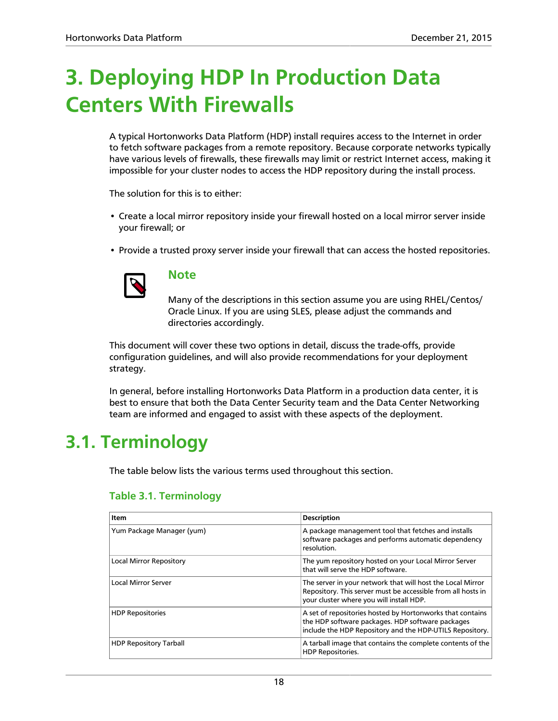# <span id="page-21-0"></span>**3. Deploying HDP In Production Data Centers With Firewalls**

A typical Hortonworks Data Platform (HDP) install requires access to the Internet in order to fetch software packages from a remote repository. Because corporate networks typically have various levels of firewalls, these firewalls may limit or restrict Internet access, making it impossible for your cluster nodes to access the HDP repository during the install process.

The solution for this is to either:

- Create a local mirror repository inside your firewall hosted on a local mirror server inside your firewall; or
- Provide a trusted proxy server inside your firewall that can access the hosted repositories.



#### **Note**

Many of the descriptions in this section assume you are using RHEL/Centos/ Oracle Linux. If you are using SLES, please adjust the commands and directories accordingly.

This document will cover these two options in detail, discuss the trade-offs, provide configuration guidelines, and will also provide recommendations for your deployment strategy.

In general, before installing Hortonworks Data Platform in a production data center, it is best to ensure that both the Data Center Security team and the Data Center Networking team are informed and engaged to assist with these aspects of the deployment.

### <span id="page-21-2"></span><span id="page-21-1"></span>**3.1. Terminology**

The table below lists the various terms used throughout this section.

| Item                           | <b>Description</b>                                                                                                                                                        |
|--------------------------------|---------------------------------------------------------------------------------------------------------------------------------------------------------------------------|
| Yum Package Manager (yum)      | A package management tool that fetches and installs<br>software packages and performs automatic dependency<br>resolution.                                                 |
| <b>Local Mirror Repository</b> | The yum repository hosted on your Local Mirror Server<br>that will serve the HDP software.                                                                                |
| Local Mirror Server            | The server in your network that will host the Local Mirror<br>Repository. This server must be accessible from all hosts in<br>vour cluster where you will install HDP.    |
| <b>HDP Repositories</b>        | A set of repositories hosted by Hortonworks that contains<br>the HDP software packages. HDP software packages<br>include the HDP Repository and the HDP-UTILS Repository. |
| <b>HDP Repository Tarball</b>  | A tarball image that contains the complete contents of the<br><b>HDP Repositories.</b>                                                                                    |

### **Table 3.1. Terminology**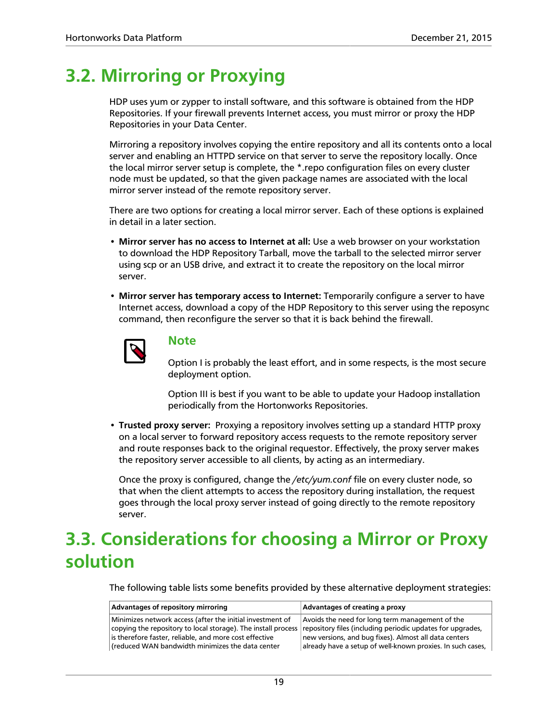### <span id="page-22-0"></span>**3.2. Mirroring or Proxying**

HDP uses yum or zypper to install software, and this software is obtained from the HDP Repositories. If your firewall prevents Internet access, you must mirror or proxy the HDP Repositories in your Data Center.

Mirroring a repository involves copying the entire repository and all its contents onto a local server and enabling an HTTPD service on that server to serve the repository locally. Once the local mirror server setup is complete, the \*.repo configuration files on every cluster node must be updated, so that the given package names are associated with the local mirror server instead of the remote repository server.

There are two options for creating a local mirror server. Each of these options is explained in detail in a later section.

- **Mirror server has no access to Internet at all:** Use a web browser on your workstation to download the HDP Repository Tarball, move the tarball to the selected mirror server using scp or an USB drive, and extract it to create the repository on the local mirror server.
- **Mirror server has temporary access to Internet:** Temporarily configure a server to have Internet access, download a copy of the HDP Repository to this server using the reposync command, then reconfigure the server so that it is back behind the firewall.



#### **Note**

Option I is probably the least effort, and in some respects, is the most secure deployment option.

Option III is best if you want to be able to update your Hadoop installation periodically from the Hortonworks Repositories.

• **Trusted proxy server:** Proxying a repository involves setting up a standard HTTP proxy on a local server to forward repository access requests to the remote repository server and route responses back to the original requestor. Effectively, the proxy server makes the repository server accessible to all clients, by acting as an intermediary.

Once the proxy is configured, change the */etc/yum.conf* file on every cluster node, so that when the client attempts to access the repository during installation, the request goes through the local proxy server instead of going directly to the remote repository server.

### <span id="page-22-1"></span>**3.3. Considerations for choosing a Mirror or Proxy solution**

The following table lists some benefits provided by these alternative deployment strategies:

| Advantages of repository mirroring                                                                                                                                                                                                                                                                  | Advantages of creating a proxy                                                                                                                                         |  |  |  |
|-----------------------------------------------------------------------------------------------------------------------------------------------------------------------------------------------------------------------------------------------------------------------------------------------------|------------------------------------------------------------------------------------------------------------------------------------------------------------------------|--|--|--|
| Minimizes network access (after the initial investment of<br>copying the repository to local storage). The install process repository files (including periodic updates for upgrades,<br>is therefore faster, reliable, and more cost effective<br>(reduced WAN bandwidth minimizes the data center | Avoids the need for long term management of the<br>new versions, and bug fixes). Almost all data centers<br>already have a setup of well-known proxies. In such cases, |  |  |  |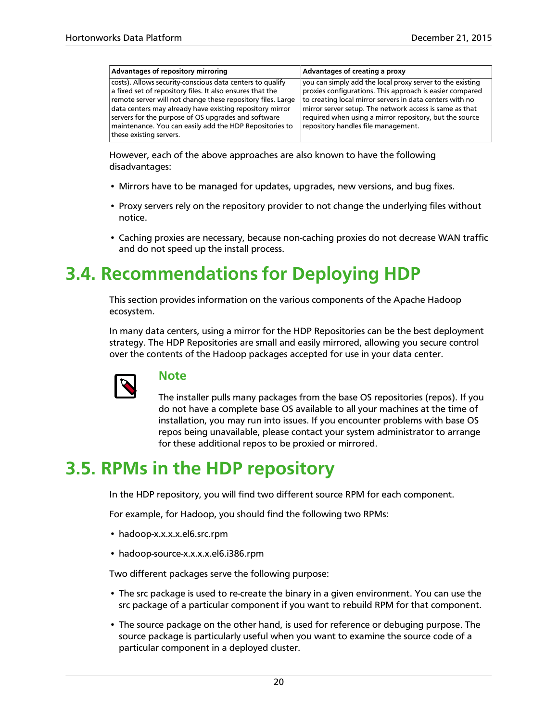| Advantages of repository mirroring                                                                                                                                                                                                                                                                                                                                                             | Advantages of creating a proxy                                                                                                                                                                                                                                                                                                                 |
|------------------------------------------------------------------------------------------------------------------------------------------------------------------------------------------------------------------------------------------------------------------------------------------------------------------------------------------------------------------------------------------------|------------------------------------------------------------------------------------------------------------------------------------------------------------------------------------------------------------------------------------------------------------------------------------------------------------------------------------------------|
| costs). Allows security-conscious data centers to qualify<br>a fixed set of repository files. It also ensures that the<br>remote server will not change these repository files. Large<br>data centers may already have existing repository mirror<br>servers for the purpose of OS upgrades and software<br>maintenance. You can easily add the HDP Repositories to<br>these existing servers. | you can simply add the local proxy server to the existing<br>proxies configurations. This approach is easier compared<br>to creating local mirror servers in data centers with no<br>mirror server setup. The network access is same as that<br>required when using a mirror repository, but the source<br>repository handles file management. |

However, each of the above approaches are also known to have the following disadvantages:

- Mirrors have to be managed for updates, upgrades, new versions, and bug fixes.
- Proxy servers rely on the repository provider to not change the underlying files without notice.
- Caching proxies are necessary, because non-caching proxies do not decrease WAN traffic and do not speed up the install process.

### <span id="page-23-0"></span>**3.4. Recommendations for Deploying HDP**

This section provides information on the various components of the Apache Hadoop ecosystem.

In many data centers, using a mirror for the HDP Repositories can be the best deployment strategy. The HDP Repositories are small and easily mirrored, allowing you secure control over the contents of the Hadoop packages accepted for use in your data center.



### **Note**

The installer pulls many packages from the base OS repositories (repos). If you do not have a complete base OS available to all your machines at the time of installation, you may run into issues. If you encounter problems with base OS repos being unavailable, please contact your system administrator to arrange for these additional repos to be proxied or mirrored.

### <span id="page-23-1"></span>**3.5. RPMs in the HDP repository**

In the HDP repository, you will find two different source RPM for each component.

For example, for Hadoop, you should find the following two RPMs:

- hadoop-x.x.x.x.el6.src.rpm
- hadoop-source-x.x.x.x.el6.i386.rpm

Two different packages serve the following purpose:

- The src package is used to re-create the binary in a given environment. You can use the src package of a particular component if you want to rebuild RPM for that component.
- The source package on the other hand, is used for reference or debuging purpose. The source package is particularly useful when you want to examine the source code of a particular component in a deployed cluster.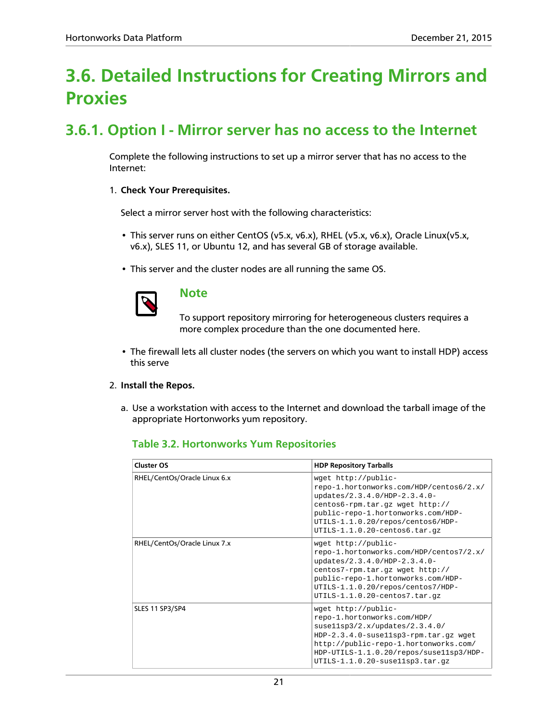### <span id="page-24-0"></span>**3.6. Detailed Instructions for Creating Mirrors and Proxies**

### <span id="page-24-1"></span>**3.6.1. Option I - Mirror server has no access to the Internet**

Complete the following instructions to set up a mirror server that has no access to the Internet:

#### 1. **Check Your Prerequisites.**

Select a mirror server host with the following characteristics:

- This server runs on either CentOS (v5.x, v6.x), RHEL (v5.x, v6.x), Oracle Linux(v5.x, v6.x), SLES 11, or Ubuntu 12, and has several GB of storage available.
- This server and the cluster nodes are all running the same OS.



#### **Note**

To support repository mirroring for heterogeneous clusters requires a more complex procedure than the one documented here.

• The firewall lets all cluster nodes (the servers on which you want to install HDP) access this serve

#### 2. **Install the Repos.**

<span id="page-24-2"></span>a. Use a workstation with access to the Internet and download the tarball image of the appropriate Hortonworks yum repository.

### **Table 3.2. Hortonworks Yum Repositories**

| <b>Cluster OS</b>            | <b>HDP Repository Tarballs</b>                                                                                                                                                                                                                         |
|------------------------------|--------------------------------------------------------------------------------------------------------------------------------------------------------------------------------------------------------------------------------------------------------|
| RHEL/CentOs/Oracle Linux 6.x | wget http://public-<br>repo-1.hortonworks.com/HDP/centos6/2.x/<br>updates/2.3.4.0/HDP-2.3.4.0-<br>centos6-rpm.tar.gz wget http://<br>public-repo-1.hortonworks.com/HDP-<br>UTILS-1.1.0.20/repos/centos6/HDP-<br>$UTILS-1.1.0.20$ -centos $6.tar.gz$    |
| RHEL/CentOs/Oracle Linux 7.x | wget http://public-<br>repo-1.hortonworks.com/HDP/centos7/2.x/<br>updates/2.3.4.0/HDP-2.3.4.0-<br>centos7-rpm.tar.gz wget http://<br>public-repo-1.hortonworks.com/HDP-<br>UTILS-1.1.0.20/repos/centos7/HDP-<br>UTILS-1.1.0.20-centos7.tar.gz          |
| SLES 11 SP3/SP4              | wget http://public-<br>repo-1.hortonworks.com/HDP/<br>susel1sp3/2.x/wpdates/2.3.4.0/<br>HDP-2.3.4.0-susellsp3-rpm.tar.gz wget<br>http://public-repo-1.hortonworks.com/<br>HDP-UTILS-1.1.0.20/repos/suse11sp3/HDP-<br>$UTILS-1.1.0.20-susellsp3.tar.gz$ |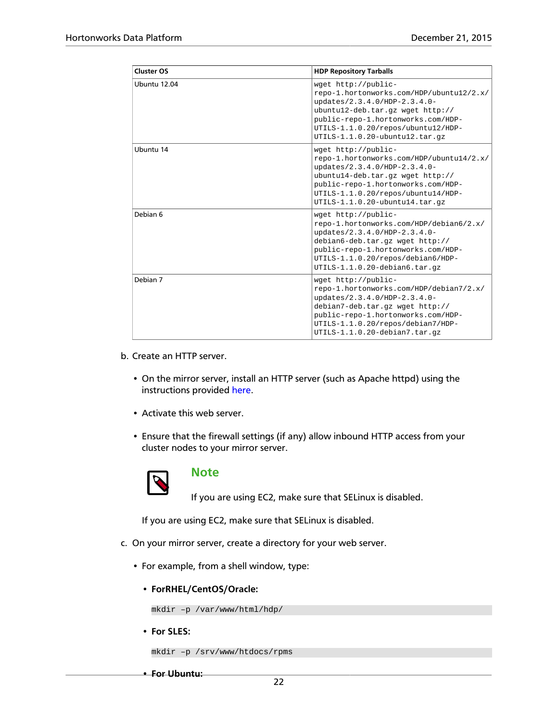| <b>Cluster OS</b> | <b>HDP Repository Tarballs</b>                                                                                                                                                                                                                       |  |  |  |  |
|-------------------|------------------------------------------------------------------------------------------------------------------------------------------------------------------------------------------------------------------------------------------------------|--|--|--|--|
| Ubuntu 12.04      | wget http://public-<br>repo-1.hortonworks.com/HDP/ubuntu12/2.x/<br>updates/2.3.4.0/HDP-2.3.4.0-<br>ubuntul2-deb.tar.qz wget http://<br>public-repo-1.hortonworks.com/HDP-<br>UTILS-1.1.0.20/repos/ubuntu12/HDP-<br>UTILS-1.1.0.20-ubuntu12.tar.gz    |  |  |  |  |
| Ubuntu 14         | wget http://public-<br>repo-1.hortonworks.com/HDP/ubuntu14/2.x/<br>updates/2.3.4.0/HDP-2.3.4.0-<br>ubuntul4-deb.tar.qz wget http://<br>public-repo-1.hortonworks.com/HDP-<br>UTILS-1.1.0.20/repos/ubuntu14/HDP-<br>$UTILS-1.1.0.20$ -ubuntul4.tar.qz |  |  |  |  |
| Debian 6          | wget http://public-<br>repo-1.hortonworks.com/HDP/debian6/2.x/<br>updates/2.3.4.0/HDP-2.3.4.0-<br>debian6-deb.tar.gz wget http://<br>public-repo-1.hortonworks.com/HDP-<br>UTILS-1.1.0.20/repos/debian6/HDP-<br>UTILS-1.1.0.20-debian6.tar.gz        |  |  |  |  |
| Debian 7          | wget http://public-<br>repo-1.hortonworks.com/HDP/debian7/2.x/<br>updates/2.3.4.0/HDP-2.3.4.0-<br>debian7-deb.tar.gz wget http://<br>public-repo-1.hortonworks.com/HDP-<br>UTILS-1.1.0.20/repos/debian7/HDP-<br>UTILS-1.1.0.20-debian7.tar.gz        |  |  |  |  |

- b. Create an HTTP server.
	- On the mirror server, install an HTTP server (such as Apache httpd) using the instructions provided [here](http://httpd.apache.org/download.cgi).
	- Activate this web server.
	- Ensure that the firewall settings (if any) allow inbound HTTP access from your cluster nodes to your mirror server.



#### **Note**

If you are using EC2, make sure that SELinux is disabled.

If you are using EC2, make sure that SELinux is disabled.

- c. On your mirror server, create a directory for your web server.
	- For example, from a shell window, type:
		- **ForRHEL/CentOS/Oracle:**

```
mkdir –p /var/www/html/hdp/
```
• **For SLES:**

mkdir –p /srv/www/htdocs/rpms

• **For Ubuntu:**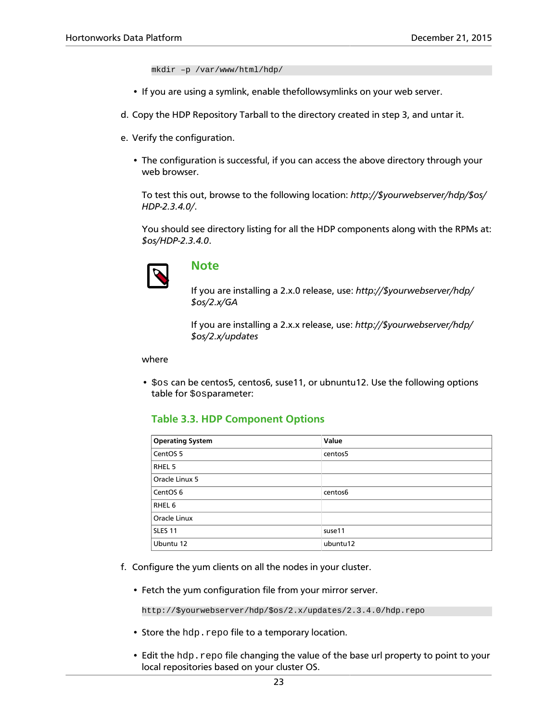mkdir –p /var/www/html/hdp/

- If you are using a symlink, enable thefollowsymlinks on your web server.
- d. Copy the HDP Repository Tarball to the directory created in step 3, and untar it.
- e. Verify the configuration.
	- The configuration is successful, if you can access the above directory through your web browser.

To test this out, browse to the following location: *http://\$yourwebserver/hdp/\$os/ HDP-2.3.4.0/*.

You should see directory listing for all the HDP components along with the RPMs at: *\$os/HDP-2.3.4.0*.



#### **Note**

If you are installing a 2.x.0 release, use: *http://\$yourwebserver/hdp/ \$os/2.x/GA*

If you are installing a 2.x.x release, use: *http://\$yourwebserver/hdp/ \$os/2.x/updates*

#### where

<span id="page-26-0"></span>• \$os can be centos5, centos6, suse11, or ubnuntu12. Use the following options table for \$osparameter:

#### **Table 3.3. HDP Component Options**

| <b>Operating System</b> | Value    |
|-------------------------|----------|
| CentOS <sub>5</sub>     | centos5  |
| RHEL 5                  |          |
| Oracle Linux 5          |          |
| CentOS <sub>6</sub>     | centos6  |
| RHEL 6                  |          |
| Oracle Linux            |          |
| <b>SLES 11</b>          | suse11   |
| Ubuntu 12               | ubuntu12 |

- f. Configure the yum clients on all the nodes in your cluster.
	- Fetch the yum configuration file from your mirror server.

http://\$yourwebserver/hdp/\$os/2.x/updates/2.3.4.0/hdp.repo

- Store the hdp. repo file to a temporary location.
- Edit the hdp.repo file changing the value of the base url property to point to your local repositories based on your cluster OS.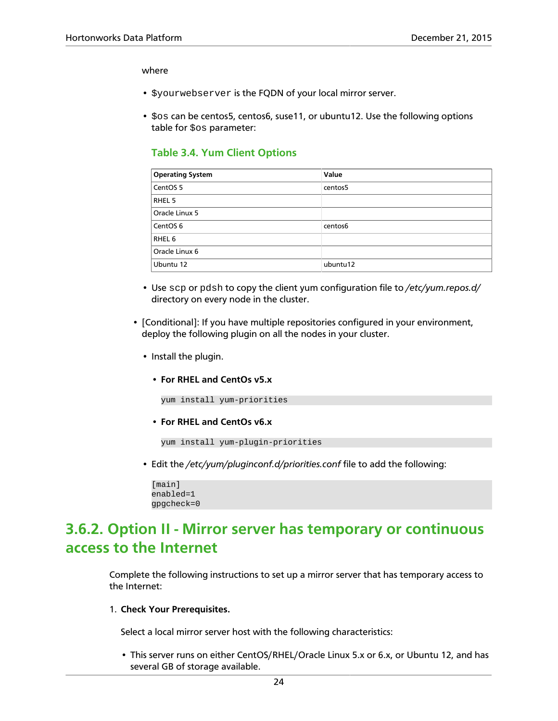#### where

- \$yourwebserver is the FQDN of your local mirror server.
- <span id="page-27-1"></span>• \$os can be centos5, centos6, suse11, or ubuntu12. Use the following options table for  $\cos$  parameter:

#### **Table 3.4. Yum Client Options**

| <b>Operating System</b> | Value    |
|-------------------------|----------|
| CentOS <sub>5</sub>     | centos5  |
| RHEL 5                  |          |
| Oracle Linux 5          |          |
| CentOS <sub>6</sub>     | centos6  |
| RHEL 6                  |          |
| Oracle Linux 6          |          |
| Ubuntu 12               | ubuntu12 |

- Use scp or pdsh to copy the client yum configuration file to */etc/yum.repos.d/* directory on every node in the cluster.
- [Conditional]: If you have multiple repositories configured in your environment, deploy the following plugin on all the nodes in your cluster.
	- Install the plugin.
		- **For RHEL and CentOs v5.x**

yum install yum-priorities

• **For RHEL and CentOs v6.x**

yum install yum-plugin-priorities

• Edit the */etc/yum/pluginconf.d/priorities.conf* file to add the following:

```
[main]
enabled=1
gpgcheck=0
```
### <span id="page-27-0"></span>**3.6.2. Option II - Mirror server has temporary or continuous access to the Internet**

Complete the following instructions to set up a mirror server that has temporary access to the Internet:

1. **Check Your Prerequisites.**

Select a local mirror server host with the following characteristics:

• This server runs on either CentOS/RHEL/Oracle Linux 5.x or 6.x, or Ubuntu 12, and has several GB of storage available.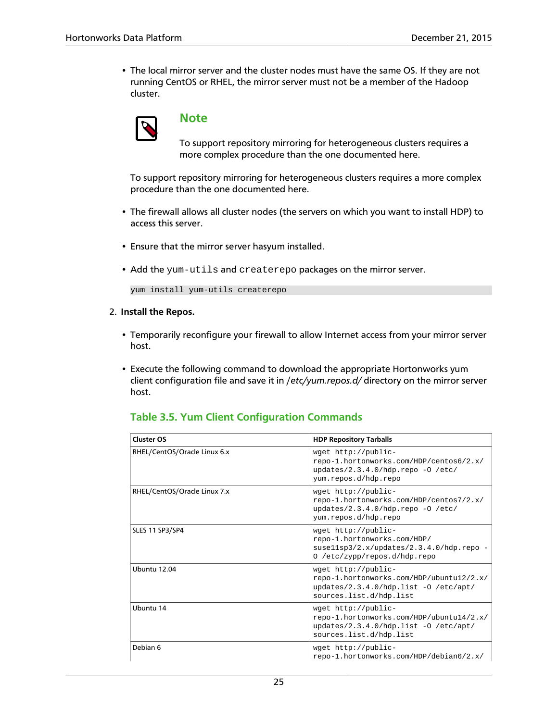• The local mirror server and the cluster nodes must have the same OS. If they are not running CentOS or RHEL, the mirror server must not be a member of the Hadoop cluster.



### **Note**

To support repository mirroring for heterogeneous clusters requires a more complex procedure than the one documented here.

To support repository mirroring for heterogeneous clusters requires a more complex procedure than the one documented here.

- The firewall allows all cluster nodes (the servers on which you want to install HDP) to access this server.
- Ensure that the mirror server hasyum installed.
- Add the yum-utils and createrepo packages on the mirror server.

```
yum install yum-utils createrepo
```
- 2. **Install the Repos.**
	- Temporarily reconfigure your firewall to allow Internet access from your mirror server host.
	- Execute the following command to download the appropriate Hortonworks yum client configuration file and save it in /*etc/yum.repos.d/* directory on the mirror server host.

#### <span id="page-28-0"></span>**Table 3.5. Yum Client Configuration Commands**

| <b>Cluster OS</b>            | <b>HDP Repository Tarballs</b>                                                                                                      |
|------------------------------|-------------------------------------------------------------------------------------------------------------------------------------|
| RHEL/CentOS/Oracle Linux 6.x | wget http://public-<br>repo-1.hortonworks.com/HDP/centos6/2.x/<br>updates/2.3.4.0/hdp.repo -0 /etc/<br>yum.repos.d/hdp.repo         |
| RHEL/CentOS/Oracle Linux 7.x | wget http://public-<br>repo-1.hortonworks.com/HDP/centos7/2.x/<br>updates/2.3.4.0/hdp.repo -0 /etc/<br>yum.repos.d/hdp.repo         |
| SLES 11 SP3/SP4              | wget http://public-<br>repo-1.hortonworks.com/HDP/<br>suse11sp3/2.x/updates/2.3.4.0/hdp.repo -<br>0 /etc/zypp/repos.d/hdp.repo      |
| Ubuntu 12.04                 | wget http://public-<br>repo-1.hortonworks.com/HDP/ubuntu12/2.x/<br>updates/2.3.4.0/hdp.list -0 /etc/apt/<br>sources.list.d/hdp.list |
| Ubuntu 14                    | wget http://public-<br>repo-1.hortonworks.com/HDP/ubuntu14/2.x/<br>updates/2.3.4.0/hdp.list -0 /etc/apt/<br>sources.list.d/hdp.list |
| Debian 6                     | wget http://public-<br>repo-1.hortonworks.com/HDP/debian6/2.x/                                                                      |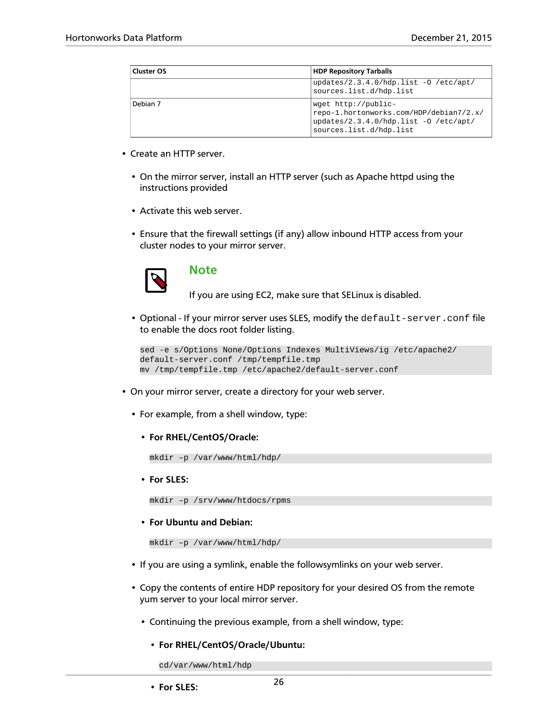| Cluster OS | <b>HDP Repository Tarballs</b>                                                                                                     |  |  |
|------------|------------------------------------------------------------------------------------------------------------------------------------|--|--|
|            | updates/2.3.4.0/hdp.list -0 /etc/apt/<br>sources.list.d/hdp.list                                                                   |  |  |
| Debian 7   | wget http://public-<br>repo-1.hortonworks.com/HDP/debian7/2.x/<br>updates/2.3.4.0/hdp.list -0 /etc/apt/<br>sources.list.d/hdp.list |  |  |

- Create an HTTP server.
	- On the mirror server, install an HTTP server (such as Apache httpd using the instructions provided
	- Activate this web server.
	- Ensure that the firewall settings (if any) allow inbound HTTP access from your cluster nodes to your mirror server.



### **Note**

If you are using EC2, make sure that SELinux is disabled.

• Optional - If your mirror server uses SLES, modify the default-server.conf file to enable the docs root folder listing.

```
sed -e s/Options None/Options Indexes MultiViews/ig /etc/apache2/
default-server.conf /tmp/tempfile.tmp
mv /tmp/tempfile.tmp /etc/apache2/default-server.conf
```
- On your mirror server, create a directory for your web server.
	- For example, from a shell window, type:
		- **For RHEL/CentOS/Oracle:**

```
mkdir –p /var/www/html/hdp/
```
• **For SLES:**

```
mkdir –p /srv/www/htdocs/rpms
```
• **For Ubuntu and Debian:**

```
mkdir –p /var/www/html/hdp/
```
- If you are using a symlink, enable the followsymlinks on your web server.
- Copy the contents of entire HDP repository for your desired OS from the remote yum server to your local mirror server.
	- Continuing the previous example, from a shell window, type:
		- **For RHEL/CentOS/Oracle/Ubuntu:**

cd/var/www/html/hdp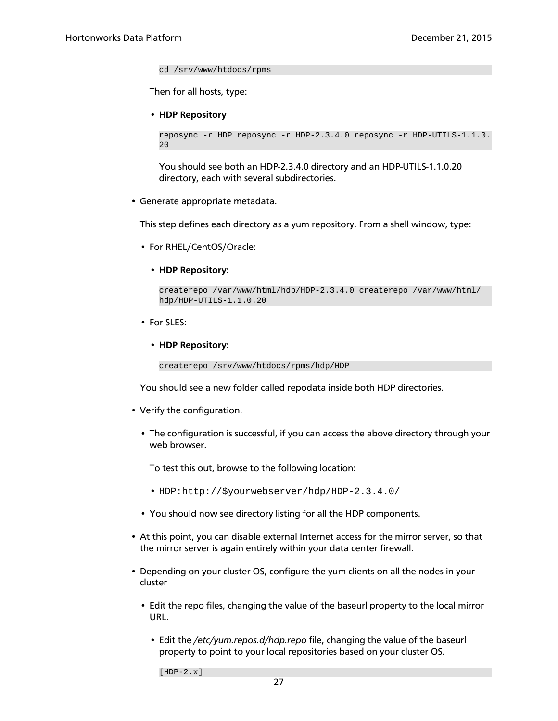cd /srv/www/htdocs/rpms

Then for all hosts, type:

• **HDP Repository**

```
reposync -r HDP reposync -r HDP-2.3.4.0 reposync -r HDP-UTILS-1.1.0.
2.0
```
You should see both an HDP-2.3.4.0 directory and an HDP-UTILS-1.1.0.20 directory, each with several subdirectories.

• Generate appropriate metadata.

This step defines each directory as a yum repository. From a shell window, type:

- For RHEL/CentOS/Oracle:
	- **HDP Repository:**

```
createrepo /var/www/html/hdp/HDP-2.3.4.0 createrepo /var/www/html/
hdp/HDP-UTILS-1.1.0.20
```
- For SLES:
	- **HDP Repository:**

```
createrepo /srv/www/htdocs/rpms/hdp/HDP
```
You should see a new folder called repodata inside both HDP directories.

- Verify the configuration.
	- The configuration is successful, if you can access the above directory through your web browser.

To test this out, browse to the following location:

- HDP:http://\$yourwebserver/hdp/HDP-2.3.4.0/
- You should now see directory listing for all the HDP components.
- At this point, you can disable external Internet access for the mirror server, so that the mirror server is again entirely within your data center firewall.
- Depending on your cluster OS, configure the yum clients on all the nodes in your cluster
	- Edit the repo files, changing the value of the baseurl property to the local mirror URL.
		- Edit the */etc/yum.repos.d/hdp.repo* file, changing the value of the baseurl property to point to your local repositories based on your cluster OS.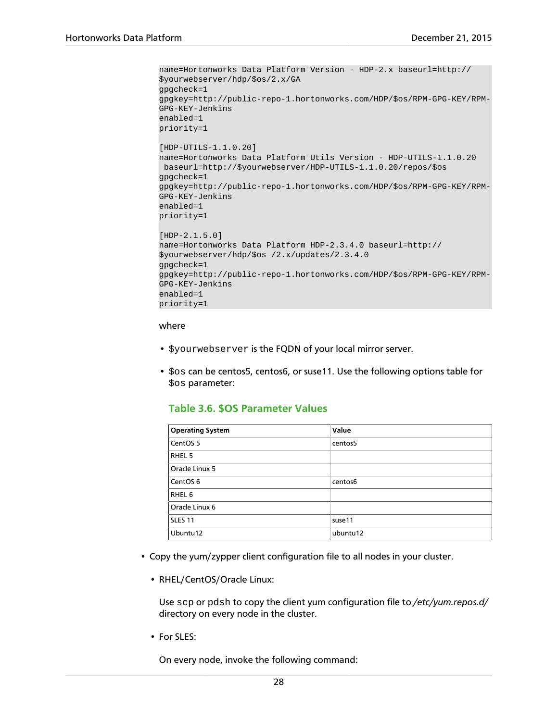```
name=Hortonworks Data Platform Version - HDP-2.x baseurl=http://
$yourwebserver/hdp/$os/2.x/GA 
gpgcheck=1
gpgkey=http://public-repo-1.hortonworks.com/HDP/$os/RPM-GPG-KEY/RPM-
GPG-KEY-Jenkins
enabled=1
priority=1
[HDP-UTILS-1.1.0.20]
name=Hortonworks Data Platform Utils Version - HDP-UTILS-1.1.0.20
 baseurl=http://$yourwebserver/HDP-UTILS-1.1.0.20/repos/$os 
gpgcheck=1
gpgkey=http://public-repo-1.hortonworks.com/HDP/$os/RPM-GPG-KEY/RPM-
GPG-KEY-Jenkins
enabled=1
priority=1
[HDP-2.1.5.0]
name=Hortonworks Data Platform HDP-2.3.4.0 baseurl=http://
$yourwebserver/hdp/$os /2.x/updates/2.3.4.0 
gpgcheck=1
gpgkey=http://public-repo-1.hortonworks.com/HDP/$os/RPM-GPG-KEY/RPM-
GPG-KEY-Jenkins
enabled=1
priority=1
```
#### where

- \$yourwebserver is the FQDN of your local mirror server.
- <span id="page-31-0"></span>• \$os can be centos5, centos6, or suse11. Use the following options table for \$os parameter:

#### **Table 3.6. \$OS Parameter Values**

| <b>Operating System</b> | Value    |
|-------------------------|----------|
| CentOS <sub>5</sub>     | centos5  |
| RHEL 5                  |          |
| Oracle Linux 5          |          |
| CentOS <sub>6</sub>     | centos6  |
| RHEL <sub>6</sub>       |          |
| Oracle Linux 6          |          |
| <b>SLES 11</b>          | suse11   |
| Ubuntu12                | ubuntu12 |

- Copy the yum/zypper client configuration file to all nodes in your cluster.
	- RHEL/CentOS/Oracle Linux:

Use scp or pdsh to copy the client yum configuration file to */etc/yum.repos.d/* directory on every node in the cluster.

• For SLES:

On every node, invoke the following command: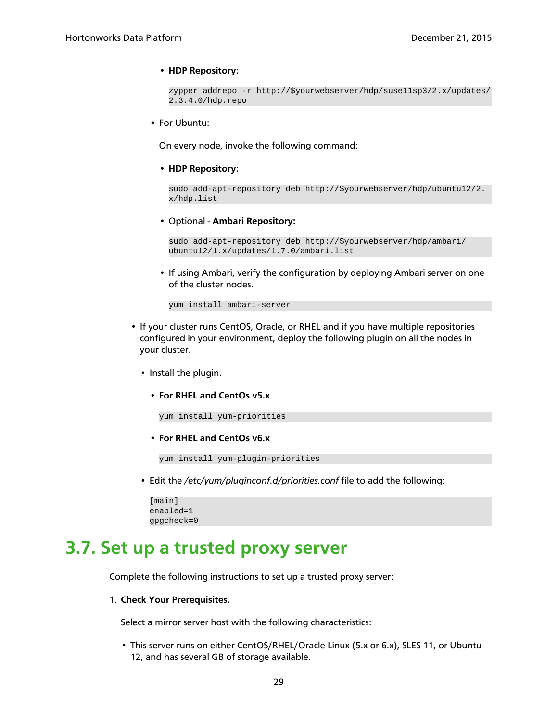#### • **HDP Repository:**

```
zypper addrepo -r http://$yourwebserver/hdp/suse11sp3/2.x/updates/
2.3.4.0/hdp.repo
```
• For Ubuntu:

On every node, invoke the following command:

• **HDP Repository:**

```
sudo add-apt-repository deb http://$yourwebserver/hdp/ubuntu12/2.
x/hdp.list
```
• Optional - **Ambari Repository:**

```
sudo add-apt-repository deb http://$yourwebserver/hdp/ambari/
ubuntu12/1.x/updates/1.7.0/ambari.list
```
• If using Ambari, verify the configuration by deploying Ambari server on one of the cluster nodes.

yum install ambari-server

- If your cluster runs CentOS, Oracle, or RHEL and if you have multiple repositories configured in your environment, deploy the following plugin on all the nodes in your cluster.
	- Install the plugin.
		- **For RHEL and CentOs v5.x**

```
yum install yum-priorities
```
• **For RHEL and CentOs v6.x**

```
yum install yum-plugin-priorities
```
• Edit the */etc/yum/pluginconf.d/priorities.conf* file to add the following:

```
[main]
enabled=1
gpgcheck=0
```
### <span id="page-32-0"></span>**3.7. Set up a trusted proxy server**

Complete the following instructions to set up a trusted proxy server:

1. **Check Your Prerequisites.**

Select a mirror server host with the following characteristics:

• This server runs on either CentOS/RHEL/Oracle Linux (5.x or 6.x), SLES 11, or Ubuntu 12, and has several GB of storage available.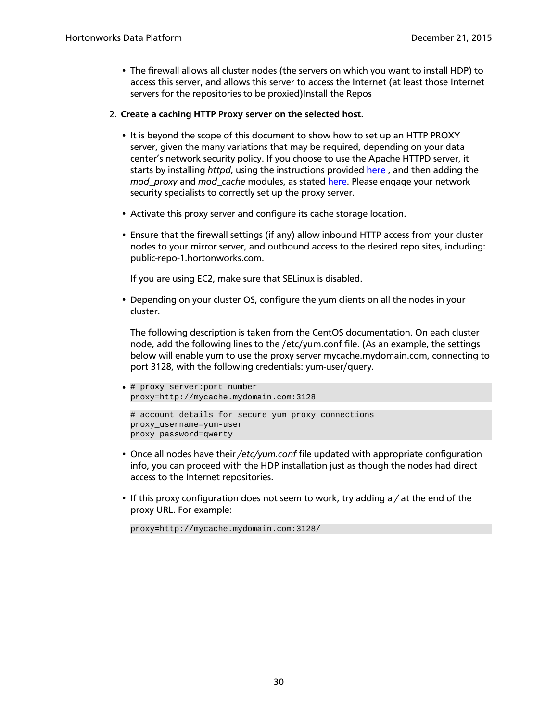• The firewall allows all cluster nodes (the servers on which you want to install HDP) to access this server, and allows this server to access the Internet (at least those Internet servers for the repositories to be proxied)Install the Repos

#### 2. **Create a caching HTTP Proxy server on the selected host.**

- It is beyond the scope of this document to show how to set up an HTTP PROXY server, given the many variations that may be required, depending on your data center's network security policy. If you choose to use the Apache HTTPD server, it starts by installing *httpd*, using the instructions provided [here](http://httpd.apache.org/download.cgi) , and then adding the *mod\_proxy* and *mod\_cache* modules, as stated [here.](http://httpd.apache.org/docs/2.2/mod/mod_proxy.html) Please engage your network security specialists to correctly set up the proxy server.
- Activate this proxy server and configure its cache storage location.
- Ensure that the firewall settings (if any) allow inbound HTTP access from your cluster nodes to your mirror server, and outbound access to the desired repo sites, including: public-repo-1.hortonworks.com.

If you are using EC2, make sure that SELinux is disabled.

• Depending on your cluster OS, configure the yum clients on all the nodes in your cluster.

The following description is taken from the CentOS documentation. On each cluster node, add the following lines to the /etc/yum.conf file. (As an example, the settings below will enable yum to use the proxy server mycache.mydomain.com, connecting to port 3128, with the following credentials: yum-user/query.

```
• # proxy server:port number
 proxy=http://mycache.mydomain.com:3128 
 # account details for secure yum proxy connections
 proxy_username=yum-user
 proxy_password=qwerty
```
- Once all nodes have their */etc/yum.conf* file updated with appropriate configuration info, you can proceed with the HDP installation just as though the nodes had direct access to the Internet repositories.
- If this proxy configuration does not seem to work, try adding a */* at the end of the proxy URL. For example:

```
proxy=http://mycache.mydomain.com:3128/
```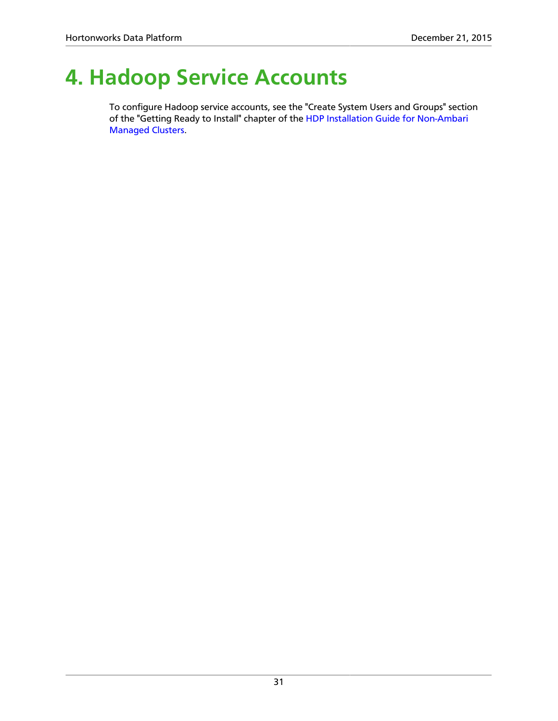# <span id="page-34-0"></span>**4. Hadoop Service Accounts**

To configure Hadoop service accounts, see the "Create System Users and Groups" section of the "Getting Ready to Install" chapter of the [HDP Installation Guide for Non-Ambari](https://docs.hortonworks.com/HDPDocuments/HDP2/HDP-2.3.4/bk_installing_manually_book/content/ch_getting_ready_chapter.html) [Managed Clusters](https://docs.hortonworks.com/HDPDocuments/HDP2/HDP-2.3.4/bk_installing_manually_book/content/ch_getting_ready_chapter.html).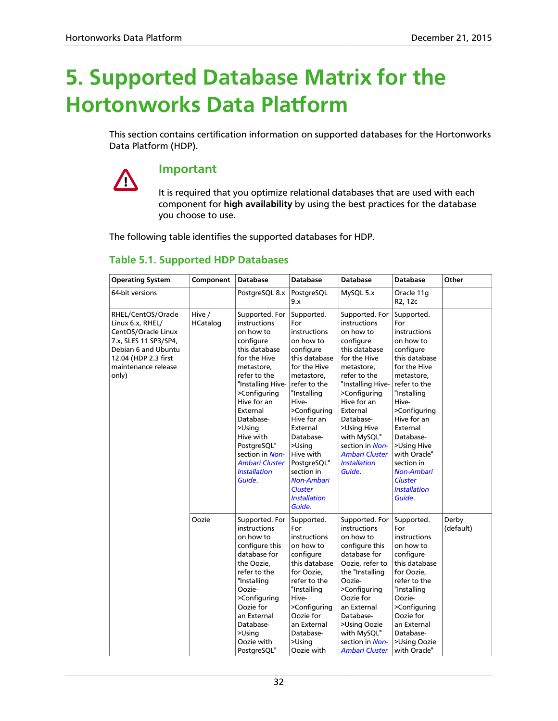# <span id="page-35-0"></span>**5. Supported Database Matrix for the Hortonworks Data Platform**

This section contains certification information on supported databases for the Hortonworks Data Platform (HDP).

# 4

### **Important**

It is required that you optimize relational databases that are used with each component for **high availability** by using the best practices for the database you choose to use.

The following table identifies the supported databases for HDP.

### <span id="page-35-1"></span>**Table 5.1. Supported HDP Databases**

| <b>Operating System</b>                                                                                                                                               | Component          | <b>Database</b>                                                                                                                                                                                                                                                                                                  | <b>Database</b>                                                                                                                                                                                                                                                                                                                        | <b>Database</b>                                                                                                                                                                                                                                                                                          | <b>Database</b>                                                                                                                                                                                                                                                                                                                 | Other              |
|-----------------------------------------------------------------------------------------------------------------------------------------------------------------------|--------------------|------------------------------------------------------------------------------------------------------------------------------------------------------------------------------------------------------------------------------------------------------------------------------------------------------------------|----------------------------------------------------------------------------------------------------------------------------------------------------------------------------------------------------------------------------------------------------------------------------------------------------------------------------------------|----------------------------------------------------------------------------------------------------------------------------------------------------------------------------------------------------------------------------------------------------------------------------------------------------------|---------------------------------------------------------------------------------------------------------------------------------------------------------------------------------------------------------------------------------------------------------------------------------------------------------------------------------|--------------------|
| 64-bit versions                                                                                                                                                       |                    | PostgreSQL 8.x                                                                                                                                                                                                                                                                                                   | PostgreSQL<br>9.x                                                                                                                                                                                                                                                                                                                      | MySQL 5.x                                                                                                                                                                                                                                                                                                | Oracle 11g<br>R2, 12c                                                                                                                                                                                                                                                                                                           |                    |
| RHEL/CentOS/Oracle<br>Linux 6.x, RHEL/<br>CentOS/Oracle Linux<br>7.x, SLES 11 SP3/SP4,<br>Debian 6 and Ubuntu<br>12.04 (HDP 2.3 first<br>maintenance release<br>only) | Hive /<br>HCatalog | Supported. For<br>instructions<br>on how to<br>configure<br>this database<br>for the Hive<br>metastore,<br>refer to the<br>"Installing Hive-<br>>Configuring<br>Hive for an<br>External<br>Database-<br>>Using<br>Hive with<br>PostgreSQL"<br>section in Non-<br>Ambari Cluster<br><b>Installation</b><br>Guide. | Supported.<br>For<br>instructions<br>on how to<br>configure<br>this database<br>for the Hive<br>metastore,<br>refer to the<br>"Installing<br>Hive-<br>>Configuring<br>Hive for an<br>External<br>Database-<br>>Using<br>Hive with<br>PostgreSQL"<br>section in<br><b>Non-Ambari</b><br><b>Cluster</b><br><b>Installation</b><br>Guide. | Supported. For<br>instructions<br>on how to<br>configure<br>this database<br>for the Hive<br>metastore,<br>refer to the<br>"Installing Hive-<br>>Configuring<br>Hive for an<br>External<br>Database-<br>>Using Hive<br>with MySQL"<br>section in Non-<br>Ambari Cluster<br><b>Installation</b><br>Guide. | Supported.<br>For<br>instructions<br>on how to<br>configure<br>this database<br>for the Hive<br>metastore,<br>refer to the<br>"Installing<br>Hive-<br>>Configuring<br>Hive for an<br>External<br>Database-<br>>Using Hive<br>with Oracle"<br>section in<br><b>Non-Ambari</b><br><b>Cluster</b><br><b>Installation</b><br>Guide. |                    |
|                                                                                                                                                                       | Oozie              | Supported. For<br>instructions<br>on how to<br>configure this<br>database for<br>the Oozie.<br>refer to the<br>"Installing<br>Oozie-<br>>Configuring<br>Oozie for<br>an External<br>Database-<br>>Using<br>Oozie with<br>PostgreSQL"                                                                             | Supported.<br>For<br>instructions<br>on how to<br>configure<br>this database<br>for Oozie.<br>refer to the<br>"Installing<br>Hive-<br>>Configuring<br>Oozie for<br>an External<br>Database-<br>>Using<br>Oozie with                                                                                                                    | Supported. For<br>instructions<br>on how to<br>configure this<br>database for<br>Oozie, refer to<br>the "Installing<br>Oozie-<br>>Configuring<br>Oozie for<br>an External<br>Database-<br>>Using Oozie<br>with MySQL"<br>section in Non-<br>Ambari Cluster                                               | Supported.<br>For<br>instructions<br>on how to<br>configure<br>this database<br>for Oozie.<br>refer to the<br>"Installing<br>Oozie-<br>>Configuring<br>Oozie for<br>an External<br>Database-<br>>Using Oozie<br>with Oracle"                                                                                                    | Derby<br>(default) |